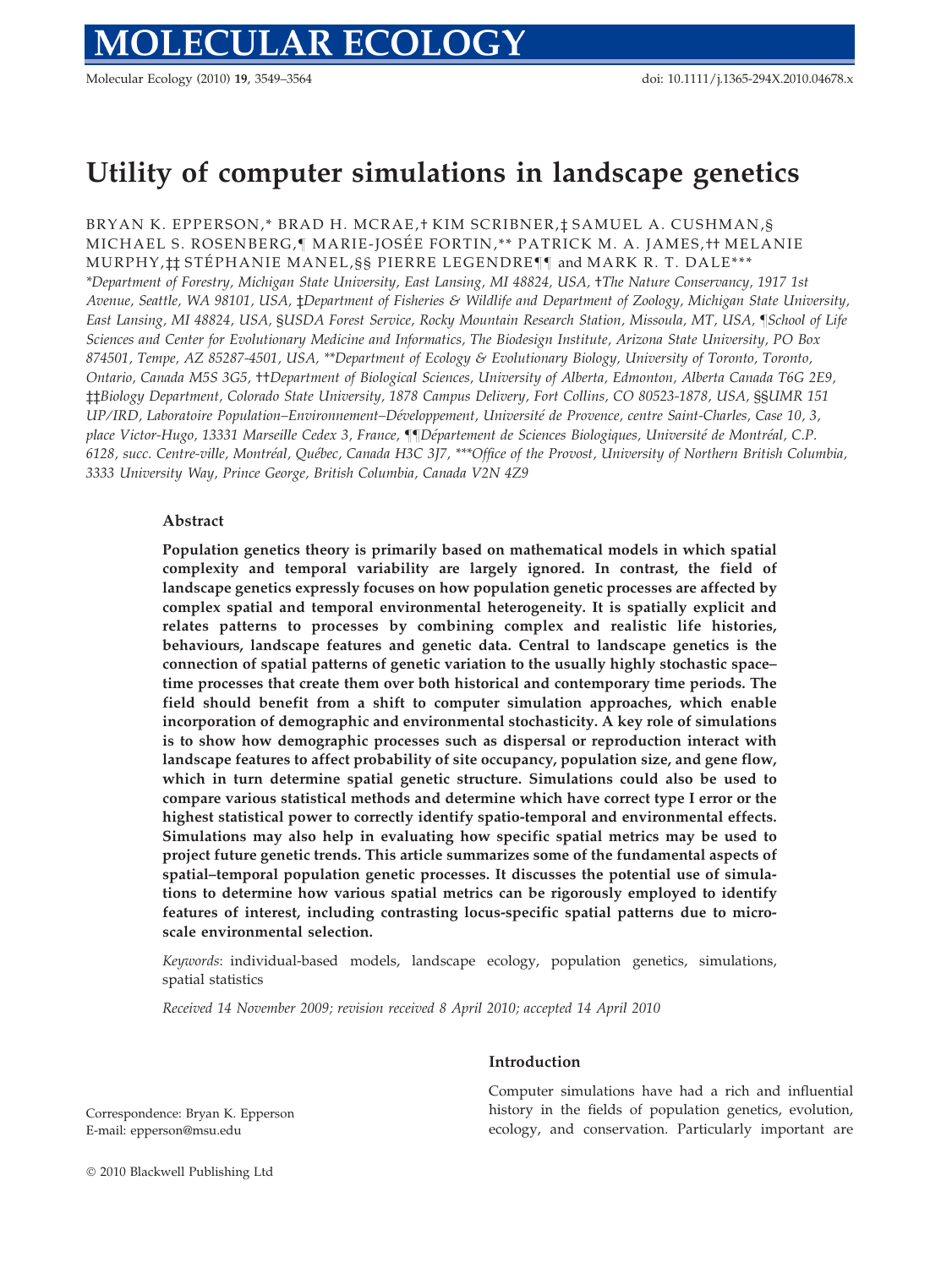Molecular Ecology (2010) 19, 3549–3564 doi: 10.1111/j.1365-294X.2010.04678.x

# Utility of computer simulations in landscape genetics

BRYAN K. EPPERSON,\* BRAD H. MCRAE,† KIM SCRIBNER,‡ SAMUEL A. CUSHMAN,§ MICHAEL S. ROSENBERG,¶ MARIE-JOSÉE FORTIN,\*\* PATRICK M. A. JAMES, ++ MELANIE MURPHY, ‡‡ STÉPHANIE MANEL, §§ PIERRE LEGENDRE¶¶ and MARK R. T. DALE\*\*\* \*Department of Forestry, Michigan State University, East Lansing, MI 48824, USA, †The Nature Conservancy, 1917 1st Avenue, Seattle, WA 98101, USA, ‡Department of Fisheries & Wildlife and Department of Zoology, Michigan State University, East Lansing, MI 48824, USA, §USDA Forest Service, Rocky Mountain Research Station, Missoula, MT, USA, ¶School of Life Sciences and Center for Evolutionary Medicine and Informatics, The Biodesign Institute, Arizona State University, PO Box 874501, Tempe, AZ 85287-4501, USA, \*\*Department of Ecology & Evolutionary Biology, University of Toronto, Toronto, Ontario, Canada M5S 3G5, ††Department of Biological Sciences, University of Alberta, Edmonton, Alberta Canada T6G 2E9, ‡‡Biology Department, Colorado State University, 1878 Campus Delivery, Fort Collins, CO 80523-1878, USA, §§UMR 151 UP ⁄IRD, Laboratoire Population–Environnement–De´veloppement, Universite´ de Provence, centre Saint-Charles, Case 10, 3, place Victor-Hugo, 13331 Marseille Cedex 3, France, ¶Département de Sciences Biologiques, Université de Montréal, C.P. 6128, succ. Centre-ville, Montréal, Québec, Canada H3C 3J7, \*\*\*Office of the Provost, University of Northern British Columbia, 3333 University Way, Prince George, British Columbia, Canada V2N 4Z9

## Abstract

Population genetics theory is primarily based on mathematical models in which spatial complexity and temporal variability are largely ignored. In contrast, the field of landscape genetics expressly focuses on how population genetic processes are affected by complex spatial and temporal environmental heterogeneity. It is spatially explicit and relates patterns to processes by combining complex and realistic life histories, behaviours, landscape features and genetic data. Central to landscape genetics is the connection of spatial patterns of genetic variation to the usually highly stochastic space– time processes that create them over both historical and contemporary time periods. The field should benefit from a shift to computer simulation approaches, which enable incorporation of demographic and environmental stochasticity. A key role of simulations is to show how demographic processes such as dispersal or reproduction interact with landscape features to affect probability of site occupancy, population size, and gene flow, which in turn determine spatial genetic structure. Simulations could also be used to compare various statistical methods and determine which have correct type I error or the highest statistical power to correctly identify spatio-temporal and environmental effects. Simulations may also help in evaluating how specific spatial metrics may be used to project future genetic trends. This article summarizes some of the fundamental aspects of spatial–temporal population genetic processes. It discusses the potential use of simulations to determine how various spatial metrics can be rigorously employed to identify features of interest, including contrasting locus-specific spatial patterns due to microscale environmental selection.

Keywords: individual-based models, landscape ecology, population genetics, simulations, spatial statistics

Received 14 November 2009; revision received 8 April 2010; accepted 14 April 2010

## Introduction

Computer simulations have had a rich and influential history in the fields of population genetics, evolution, ecology, and conservation. Particularly important are

Correspondence: Bryan K. Epperson E-mail: epperson@msu.edu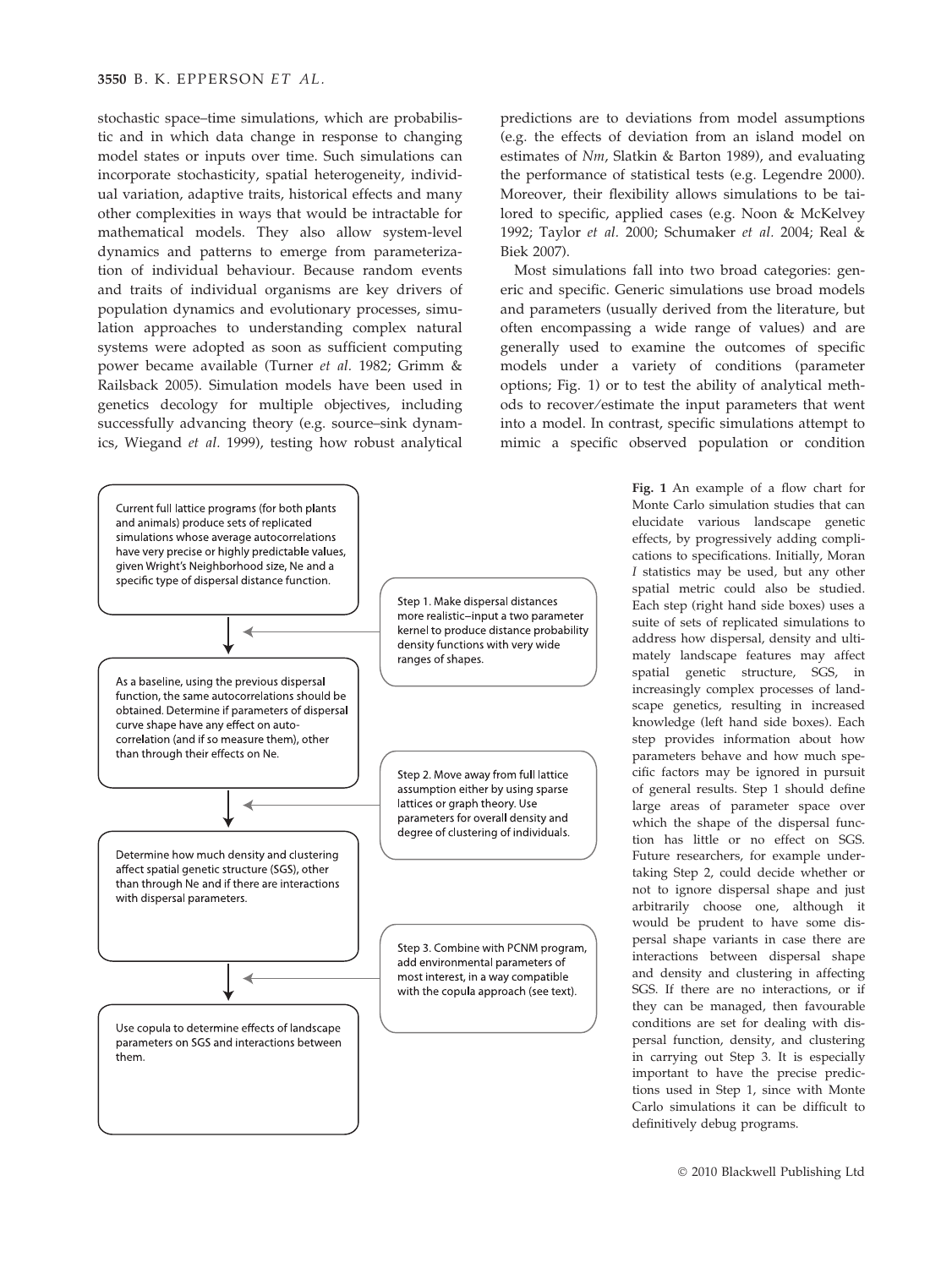#### 3550 B. K. EPPERSON ET AL.

stochastic space–time simulations, which are probabilistic and in which data change in response to changing model states or inputs over time. Such simulations can incorporate stochasticity, spatial heterogeneity, individual variation, adaptive traits, historical effects and many other complexities in ways that would be intractable for mathematical models. They also allow system-level dynamics and patterns to emerge from parameterization of individual behaviour. Because random events and traits of individual organisms are key drivers of population dynamics and evolutionary processes, simulation approaches to understanding complex natural systems were adopted as soon as sufficient computing power became available (Turner et al. 1982; Grimm & Railsback 2005). Simulation models have been used in genetics decology for multiple objectives, including successfully advancing theory (e.g. source–sink dynamics, Wiegand et al. 1999), testing how robust analytical



predictions are to deviations from model assumptions (e.g. the effects of deviation from an island model on estimates of Nm, Slatkin & Barton 1989), and evaluating the performance of statistical tests (e.g. Legendre 2000). Moreover, their flexibility allows simulations to be tailored to specific, applied cases (e.g. Noon & McKelvey 1992; Taylor et al. 2000; Schumaker et al. 2004; Real & Biek 2007).

Most simulations fall into two broad categories: generic and specific. Generic simulations use broad models and parameters (usually derived from the literature, but often encompassing a wide range of values) and are generally used to examine the outcomes of specific models under a variety of conditions (parameter options; Fig. 1) or to test the ability of analytical methods to recover⁄ estimate the input parameters that went into a model. In contrast, specific simulations attempt to mimic a specific observed population or condition

> Fig. 1 An example of a flow chart for Monte Carlo simulation studies that can elucidate various landscape genetic effects, by progressively adding complications to specifications. Initially, Moran I statistics may be used, but any other spatial metric could also be studied. Each step (right hand side boxes) uses a suite of sets of replicated simulations to address how dispersal, density and ultimately landscape features may affect spatial genetic structure, SGS, in increasingly complex processes of landscape genetics, resulting in increased knowledge (left hand side boxes). Each step provides information about how parameters behave and how much specific factors may be ignored in pursuit of general results. Step 1 should define large areas of parameter space over which the shape of the dispersal function has little or no effect on SGS. Future researchers, for example undertaking Step 2, could decide whether or not to ignore dispersal shape and just arbitrarily choose one, although it would be prudent to have some dispersal shape variants in case there are interactions between dispersal shape and density and clustering in affecting SGS. If there are no interactions, or if they can be managed, then favourable conditions are set for dealing with dispersal function, density, and clustering in carrying out Step 3. It is especially important to have the precise predictions used in Step 1, since with Monte Carlo simulations it can be difficult to definitively debug programs.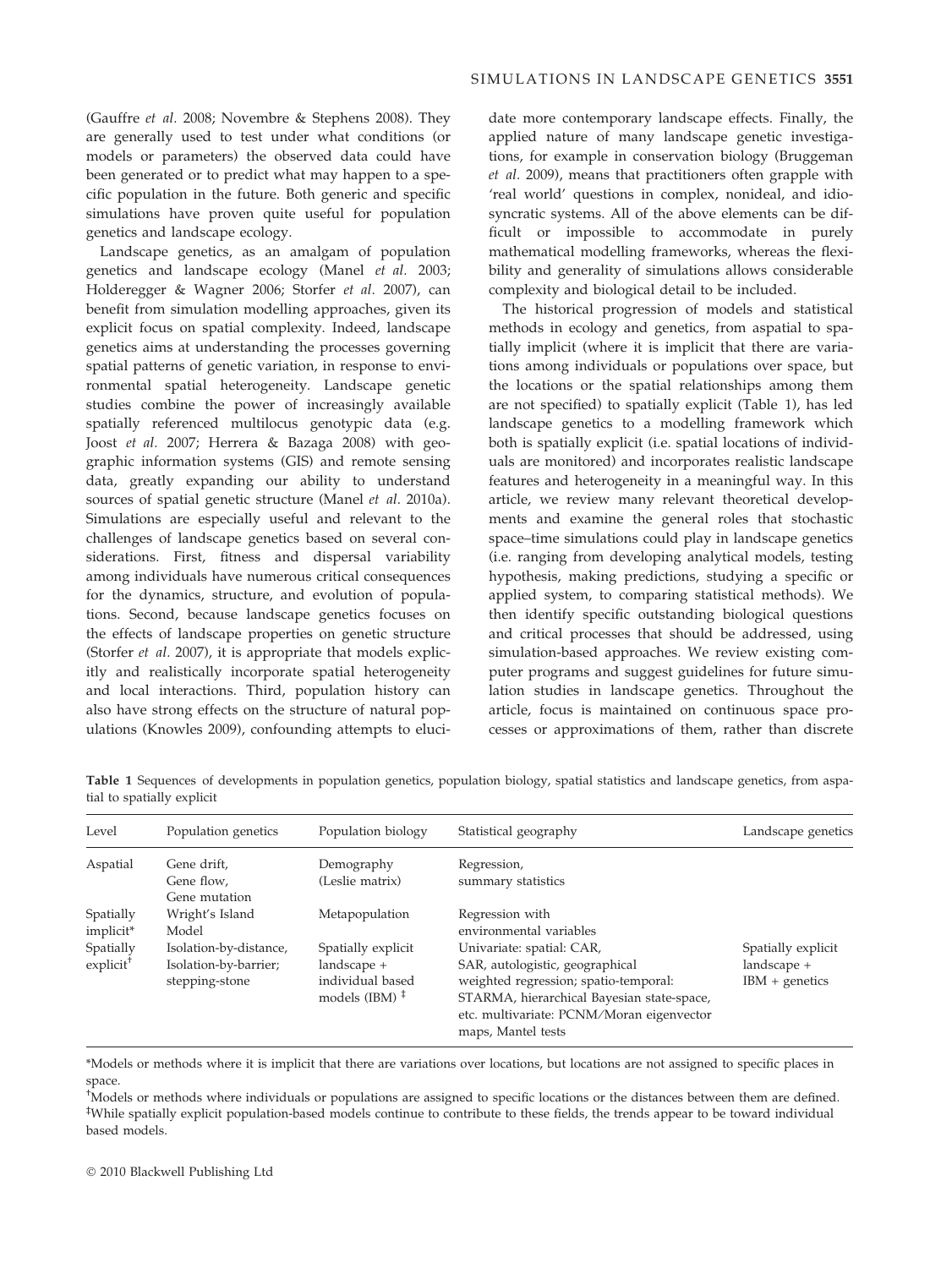(Gauffre et al. 2008; Novembre & Stephens 2008). They are generally used to test under what conditions (or models or parameters) the observed data could have been generated or to predict what may happen to a specific population in the future. Both generic and specific simulations have proven quite useful for population genetics and landscape ecology.

Landscape genetics, as an amalgam of population genetics and landscape ecology (Manel et al. 2003; Holderegger & Wagner 2006; Storfer et al. 2007), can benefit from simulation modelling approaches, given its explicit focus on spatial complexity. Indeed, landscape genetics aims at understanding the processes governing spatial patterns of genetic variation, in response to environmental spatial heterogeneity. Landscape genetic studies combine the power of increasingly available spatially referenced multilocus genotypic data (e.g. Joost et al. 2007; Herrera & Bazaga 2008) with geographic information systems (GIS) and remote sensing data, greatly expanding our ability to understand sources of spatial genetic structure (Manel et al. 2010a). Simulations are especially useful and relevant to the challenges of landscape genetics based on several considerations. First, fitness and dispersal variability among individuals have numerous critical consequences for the dynamics, structure, and evolution of populations. Second, because landscape genetics focuses on the effects of landscape properties on genetic structure (Storfer et al. 2007), it is appropriate that models explicitly and realistically incorporate spatial heterogeneity and local interactions. Third, population history can also have strong effects on the structure of natural populations (Knowles 2009), confounding attempts to elucidate more contemporary landscape effects. Finally, the applied nature of many landscape genetic investigations, for example in conservation biology (Bruggeman et al. 2009), means that practitioners often grapple with 'real world' questions in complex, nonideal, and idiosyncratic systems. All of the above elements can be difficult or impossible to accommodate in purely mathematical modelling frameworks, whereas the flexibility and generality of simulations allows considerable complexity and biological detail to be included.

The historical progression of models and statistical methods in ecology and genetics, from aspatial to spatially implicit (where it is implicit that there are variations among individuals or populations over space, but the locations or the spatial relationships among them are not specified) to spatially explicit (Table 1), has led landscape genetics to a modelling framework which both is spatially explicit (i.e. spatial locations of individuals are monitored) and incorporates realistic landscape features and heterogeneity in a meaningful way. In this article, we review many relevant theoretical developments and examine the general roles that stochastic space–time simulations could play in landscape genetics (i.e. ranging from developing analytical models, testing hypothesis, making predictions, studying a specific or applied system, to comparing statistical methods). We then identify specific outstanding biological questions and critical processes that should be addressed, using simulation-based approaches. We review existing computer programs and suggest guidelines for future simulation studies in landscape genetics. Throughout the article, focus is maintained on continuous space processes or approximations of them, rather than discrete

Table 1 Sequences of developments in population genetics, population biology, spatial statistics and landscape genetics, from aspatial to spatially explicit

| Level                             | Population genetics                                               | Population biology                                                                  | Statistical geography                                                                                                                                                                                                  | Landscape genetics                                              |  |
|-----------------------------------|-------------------------------------------------------------------|-------------------------------------------------------------------------------------|------------------------------------------------------------------------------------------------------------------------------------------------------------------------------------------------------------------------|-----------------------------------------------------------------|--|
| Aspatial                          | Gene drift,<br>Gene flow,                                         | Demography<br>(Leslie matrix)                                                       | Regression,<br>summary statistics                                                                                                                                                                                      |                                                                 |  |
|                                   | Gene mutation                                                     |                                                                                     |                                                                                                                                                                                                                        |                                                                 |  |
| Spatially<br>implicit*            | Wright's Island<br>Model                                          | Metapopulation                                                                      | Regression with<br>environmental variables                                                                                                                                                                             |                                                                 |  |
| Spatially<br>$explicit^{\dagger}$ | Isolation-by-distance,<br>Isolation-by-barrier;<br>stepping-stone | Spatially explicit<br>$land \angle$ scape +<br>individual based<br>models (IBM) $‡$ | Univariate: spatial: CAR,<br>SAR, autologistic, geographical<br>weighted regression; spatio-temporal:<br>STARMA, hierarchical Bayesian state-space,<br>etc. multivariate: PCNM/Moran eigenvector<br>maps, Mantel tests | Spatially explicit<br>$land \angle$ scape +<br>$IBM + genetics$ |  |

\*Models or methods where it is implicit that there are variations over locations, but locations are not assigned to specific places in space.

† Models or methods where individuals or populations are assigned to specific locations or the distances between them are defined. ‡ While spatially explicit population-based models continue to contribute to these fields, the trends appear to be toward individual based models.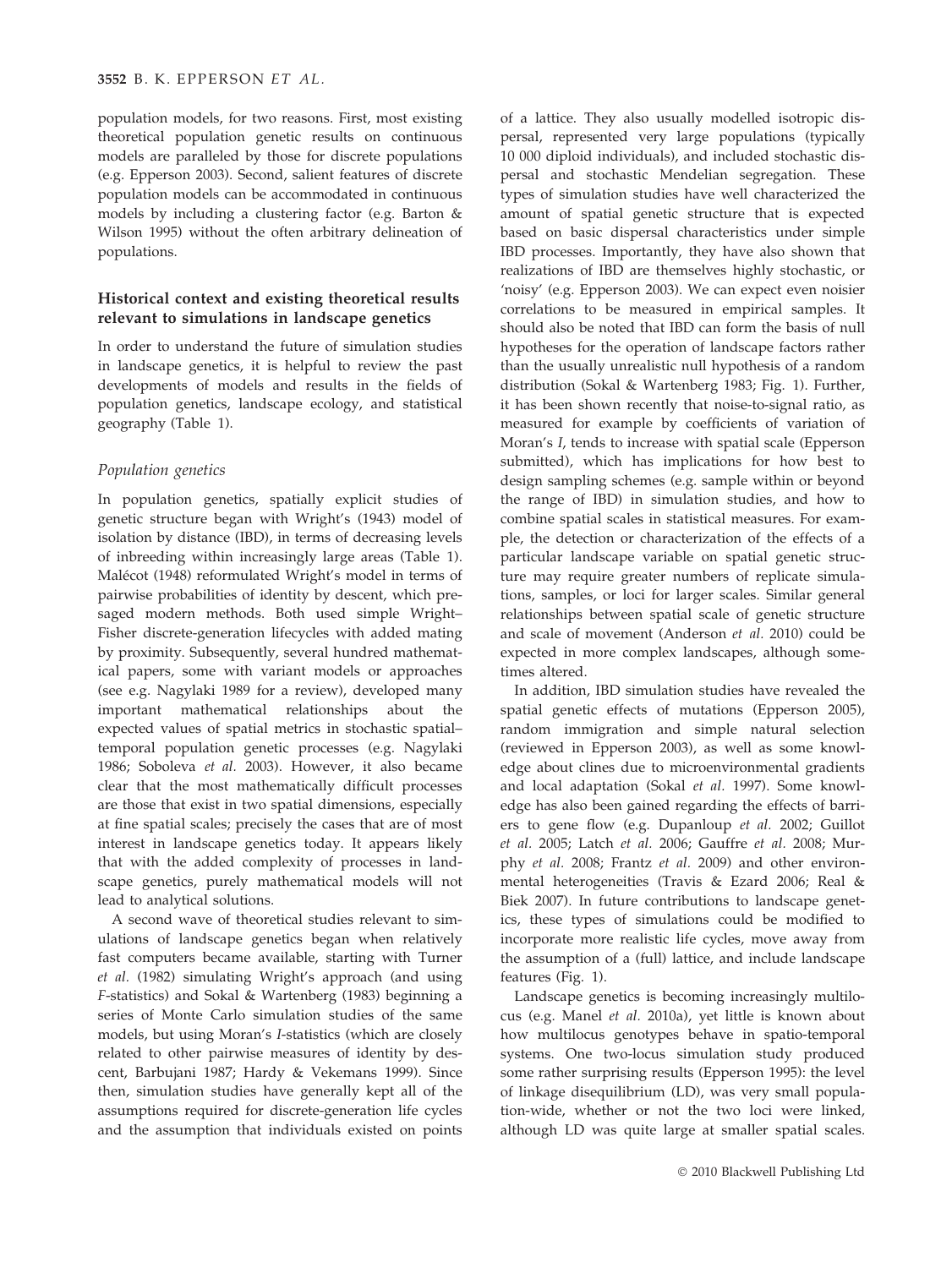population models, for two reasons. First, most existing theoretical population genetic results on continuous models are paralleled by those for discrete populations (e.g. Epperson 2003). Second, salient features of discrete population models can be accommodated in continuous models by including a clustering factor (e.g. Barton & Wilson 1995) without the often arbitrary delineation of populations.

## Historical context and existing theoretical results relevant to simulations in landscape genetics

In order to understand the future of simulation studies in landscape genetics, it is helpful to review the past developments of models and results in the fields of population genetics, landscape ecology, and statistical geography (Table 1).

## Population genetics

In population genetics, spatially explicit studies of genetic structure began with Wright's (1943) model of isolation by distance (IBD), in terms of decreasing levels of inbreeding within increasingly large areas (Table 1). Malécot (1948) reformulated Wright's model in terms of pairwise probabilities of identity by descent, which presaged modern methods. Both used simple Wright– Fisher discrete-generation lifecycles with added mating by proximity. Subsequently, several hundred mathematical papers, some with variant models or approaches (see e.g. Nagylaki 1989 for a review), developed many important mathematical relationships about the expected values of spatial metrics in stochastic spatial– temporal population genetic processes (e.g. Nagylaki 1986; Soboleva et al. 2003). However, it also became clear that the most mathematically difficult processes are those that exist in two spatial dimensions, especially at fine spatial scales; precisely the cases that are of most interest in landscape genetics today. It appears likely that with the added complexity of processes in landscape genetics, purely mathematical models will not lead to analytical solutions.

A second wave of theoretical studies relevant to simulations of landscape genetics began when relatively fast computers became available, starting with Turner et al. (1982) simulating Wright's approach (and using F-statistics) and Sokal & Wartenberg (1983) beginning a series of Monte Carlo simulation studies of the same models, but using Moran's I-statistics (which are closely related to other pairwise measures of identity by descent, Barbujani 1987; Hardy & Vekemans 1999). Since then, simulation studies have generally kept all of the assumptions required for discrete-generation life cycles and the assumption that individuals existed on points

of a lattice. They also usually modelled isotropic dispersal, represented very large populations (typically 10 000 diploid individuals), and included stochastic dispersal and stochastic Mendelian segregation. These types of simulation studies have well characterized the amount of spatial genetic structure that is expected based on basic dispersal characteristics under simple IBD processes. Importantly, they have also shown that realizations of IBD are themselves highly stochastic, or 'noisy' (e.g. Epperson 2003). We can expect even noisier correlations to be measured in empirical samples. It should also be noted that IBD can form the basis of null hypotheses for the operation of landscape factors rather than the usually unrealistic null hypothesis of a random distribution (Sokal & Wartenberg 1983; Fig. 1). Further, it has been shown recently that noise-to-signal ratio, as measured for example by coefficients of variation of Moran's I, tends to increase with spatial scale (Epperson submitted), which has implications for how best to design sampling schemes (e.g. sample within or beyond the range of IBD) in simulation studies, and how to combine spatial scales in statistical measures. For example, the detection or characterization of the effects of a particular landscape variable on spatial genetic structure may require greater numbers of replicate simulations, samples, or loci for larger scales. Similar general relationships between spatial scale of genetic structure and scale of movement (Anderson et al. 2010) could be expected in more complex landscapes, although sometimes altered.

In addition, IBD simulation studies have revealed the spatial genetic effects of mutations (Epperson 2005), random immigration and simple natural selection (reviewed in Epperson 2003), as well as some knowledge about clines due to microenvironmental gradients and local adaptation (Sokal et al. 1997). Some knowledge has also been gained regarding the effects of barriers to gene flow (e.g. Dupanloup et al. 2002; Guillot et al. 2005; Latch et al. 2006; Gauffre et al. 2008; Murphy et al. 2008; Frantz et al. 2009) and other environmental heterogeneities (Travis & Ezard 2006; Real & Biek 2007). In future contributions to landscape genetics, these types of simulations could be modified to incorporate more realistic life cycles, move away from the assumption of a (full) lattice, and include landscape features (Fig. 1).

Landscape genetics is becoming increasingly multilocus (e.g. Manel et al. 2010a), yet little is known about how multilocus genotypes behave in spatio-temporal systems. One two-locus simulation study produced some rather surprising results (Epperson 1995): the level of linkage disequilibrium (LD), was very small population-wide, whether or not the two loci were linked, although LD was quite large at smaller spatial scales.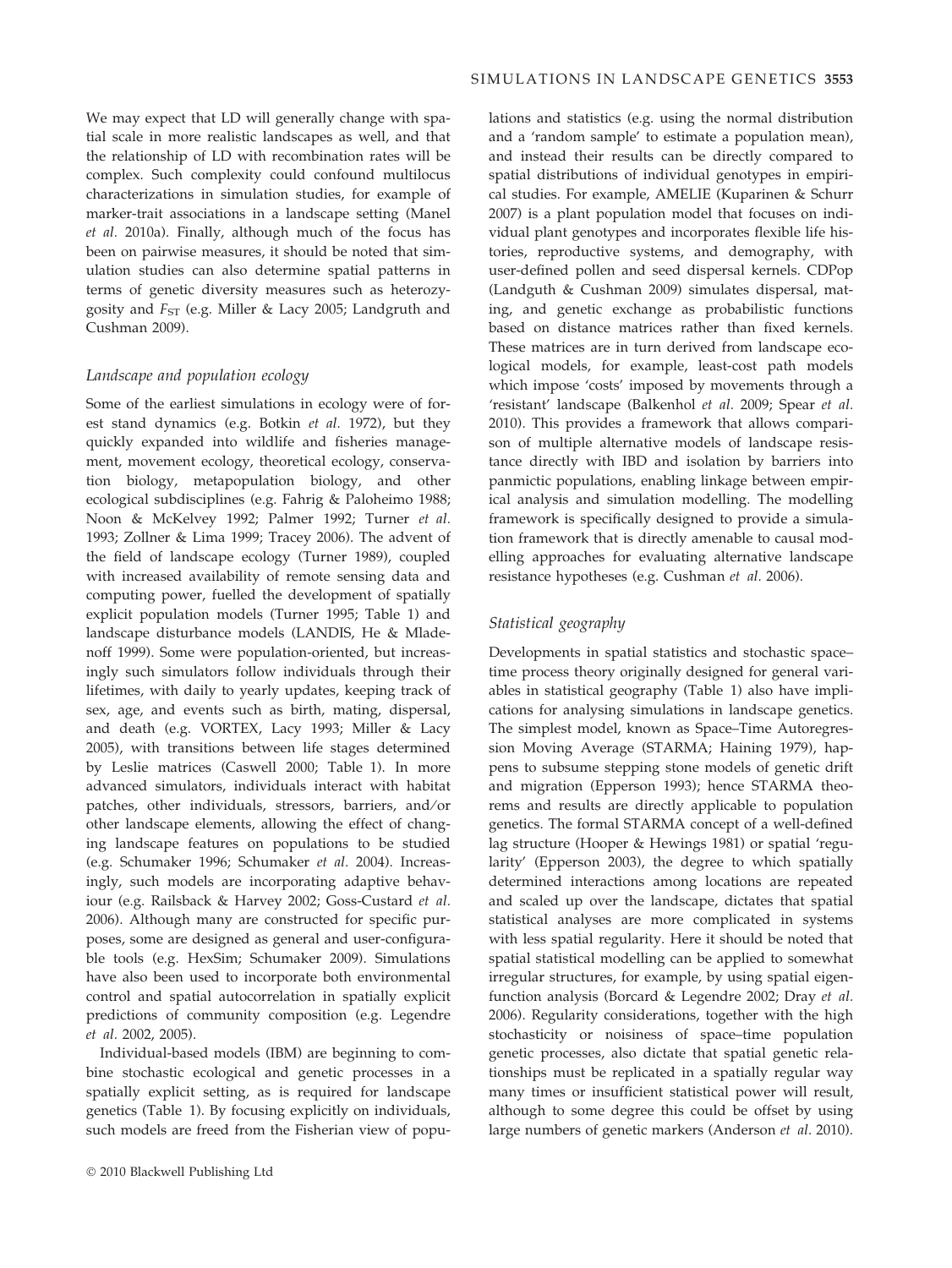We may expect that LD will generally change with spatial scale in more realistic landscapes as well, and that the relationship of LD with recombination rates will be complex. Such complexity could confound multilocus characterizations in simulation studies, for example of marker-trait associations in a landscape setting (Manel et al. 2010a). Finally, although much of the focus has been on pairwise measures, it should be noted that simulation studies can also determine spatial patterns in terms of genetic diversity measures such as heterozygosity and  $F_{ST}$  (e.g. Miller & Lacy 2005; Landgruth and Cushman 2009).

#### Landscape and population ecology

Some of the earliest simulations in ecology were of forest stand dynamics (e.g. Botkin et al. 1972), but they quickly expanded into wildlife and fisheries management, movement ecology, theoretical ecology, conservation biology, metapopulation biology, and other ecological subdisciplines (e.g. Fahrig & Paloheimo 1988; Noon & McKelvey 1992; Palmer 1992; Turner et al. 1993; Zollner & Lima 1999; Tracey 2006). The advent of the field of landscape ecology (Turner 1989), coupled with increased availability of remote sensing data and computing power, fuelled the development of spatially explicit population models (Turner 1995; Table 1) and landscape disturbance models (LANDIS, He & Mladenoff 1999). Some were population-oriented, but increasingly such simulators follow individuals through their lifetimes, with daily to yearly updates, keeping track of sex, age, and events such as birth, mating, dispersal, and death (e.g. VORTEX, Lacy 1993; Miller & Lacy 2005), with transitions between life stages determined by Leslie matrices (Caswell 2000; Table 1). In more advanced simulators, individuals interact with habitat patches, other individuals, stressors, barriers, and/or other landscape elements, allowing the effect of changing landscape features on populations to be studied (e.g. Schumaker 1996; Schumaker et al. 2004). Increasingly, such models are incorporating adaptive behaviour (e.g. Railsback & Harvey 2002; Goss-Custard et al. 2006). Although many are constructed for specific purposes, some are designed as general and user-configurable tools (e.g. HexSim; Schumaker 2009). Simulations have also been used to incorporate both environmental control and spatial autocorrelation in spatially explicit predictions of community composition (e.g. Legendre et al. 2002, 2005).

Individual-based models (IBM) are beginning to combine stochastic ecological and genetic processes in a spatially explicit setting, as is required for landscape genetics (Table 1). By focusing explicitly on individuals, such models are freed from the Fisherian view of populations and statistics (e.g. using the normal distribution and a 'random sample' to estimate a population mean), and instead their results can be directly compared to spatial distributions of individual genotypes in empirical studies. For example, AMELIE (Kuparinen & Schurr 2007) is a plant population model that focuses on individual plant genotypes and incorporates flexible life histories, reproductive systems, and demography, with user-defined pollen and seed dispersal kernels. CDPop (Landguth & Cushman 2009) simulates dispersal, mating, and genetic exchange as probabilistic functions based on distance matrices rather than fixed kernels. These matrices are in turn derived from landscape ecological models, for example, least-cost path models which impose 'costs' imposed by movements through a 'resistant' landscape (Balkenhol et al. 2009; Spear et al. 2010). This provides a framework that allows comparison of multiple alternative models of landscape resistance directly with IBD and isolation by barriers into panmictic populations, enabling linkage between empirical analysis and simulation modelling. The modelling framework is specifically designed to provide a simulation framework that is directly amenable to causal modelling approaches for evaluating alternative landscape resistance hypotheses (e.g. Cushman et al. 2006).

## Statistical geography

Developments in spatial statistics and stochastic space– time process theory originally designed for general variables in statistical geography (Table 1) also have implications for analysing simulations in landscape genetics. The simplest model, known as Space–Time Autoregression Moving Average (STARMA; Haining 1979), happens to subsume stepping stone models of genetic drift and migration (Epperson 1993); hence STARMA theorems and results are directly applicable to population genetics. The formal STARMA concept of a well-defined lag structure (Hooper & Hewings 1981) or spatial 'regularity' (Epperson 2003), the degree to which spatially determined interactions among locations are repeated and scaled up over the landscape, dictates that spatial statistical analyses are more complicated in systems with less spatial regularity. Here it should be noted that spatial statistical modelling can be applied to somewhat irregular structures, for example, by using spatial eigenfunction analysis (Borcard & Legendre 2002; Dray et al. 2006). Regularity considerations, together with the high stochasticity or noisiness of space–time population genetic processes, also dictate that spatial genetic relationships must be replicated in a spatially regular way many times or insufficient statistical power will result, although to some degree this could be offset by using large numbers of genetic markers (Anderson et al. 2010).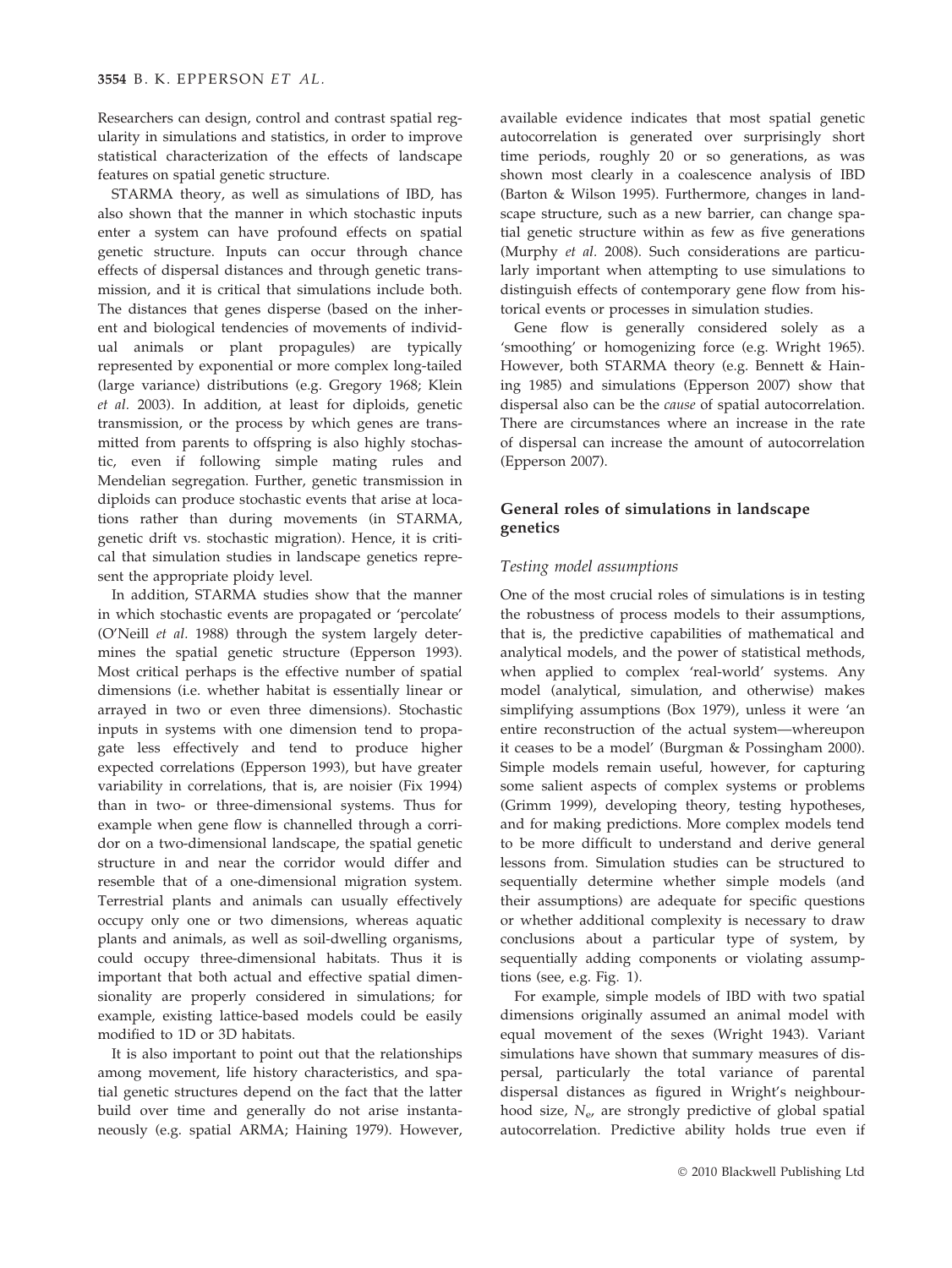Researchers can design, control and contrast spatial regularity in simulations and statistics, in order to improve statistical characterization of the effects of landscape features on spatial genetic structure.

STARMA theory, as well as simulations of IBD, has also shown that the manner in which stochastic inputs enter a system can have profound effects on spatial genetic structure. Inputs can occur through chance effects of dispersal distances and through genetic transmission, and it is critical that simulations include both. The distances that genes disperse (based on the inherent and biological tendencies of movements of individual animals or plant propagules) are typically represented by exponential or more complex long-tailed (large variance) distributions (e.g. Gregory 1968; Klein et al. 2003). In addition, at least for diploids, genetic transmission, or the process by which genes are transmitted from parents to offspring is also highly stochastic, even if following simple mating rules and Mendelian segregation. Further, genetic transmission in diploids can produce stochastic events that arise at locations rather than during movements (in STARMA, genetic drift vs. stochastic migration). Hence, it is critical that simulation studies in landscape genetics represent the appropriate ploidy level.

In addition, STARMA studies show that the manner in which stochastic events are propagated or 'percolate' (O'Neill et al. 1988) through the system largely determines the spatial genetic structure (Epperson 1993). Most critical perhaps is the effective number of spatial dimensions (i.e. whether habitat is essentially linear or arrayed in two or even three dimensions). Stochastic inputs in systems with one dimension tend to propagate less effectively and tend to produce higher expected correlations (Epperson 1993), but have greater variability in correlations, that is, are noisier (Fix 1994) than in two- or three-dimensional systems. Thus for example when gene flow is channelled through a corridor on a two-dimensional landscape, the spatial genetic structure in and near the corridor would differ and resemble that of a one-dimensional migration system. Terrestrial plants and animals can usually effectively occupy only one or two dimensions, whereas aquatic plants and animals, as well as soil-dwelling organisms, could occupy three-dimensional habitats. Thus it is important that both actual and effective spatial dimensionality are properly considered in simulations; for example, existing lattice-based models could be easily modified to 1D or 3D habitats.

It is also important to point out that the relationships among movement, life history characteristics, and spatial genetic structures depend on the fact that the latter build over time and generally do not arise instantaneously (e.g. spatial ARMA; Haining 1979). However, available evidence indicates that most spatial genetic autocorrelation is generated over surprisingly short time periods, roughly 20 or so generations, as was shown most clearly in a coalescence analysis of IBD (Barton & Wilson 1995). Furthermore, changes in landscape structure, such as a new barrier, can change spatial genetic structure within as few as five generations (Murphy et al. 2008). Such considerations are particularly important when attempting to use simulations to distinguish effects of contemporary gene flow from historical events or processes in simulation studies.

Gene flow is generally considered solely as a 'smoothing' or homogenizing force (e.g. Wright 1965). However, both STARMA theory (e.g. Bennett & Haining 1985) and simulations (Epperson 2007) show that dispersal also can be the cause of spatial autocorrelation. There are circumstances where an increase in the rate of dispersal can increase the amount of autocorrelation (Epperson 2007).

# General roles of simulations in landscape genetics

#### Testing model assumptions

One of the most crucial roles of simulations is in testing the robustness of process models to their assumptions, that is, the predictive capabilities of mathematical and analytical models, and the power of statistical methods, when applied to complex 'real-world' systems. Any model (analytical, simulation, and otherwise) makes simplifying assumptions (Box 1979), unless it were 'an entire reconstruction of the actual system—whereupon it ceases to be a model' (Burgman & Possingham 2000). Simple models remain useful, however, for capturing some salient aspects of complex systems or problems (Grimm 1999), developing theory, testing hypotheses, and for making predictions. More complex models tend to be more difficult to understand and derive general lessons from. Simulation studies can be structured to sequentially determine whether simple models (and their assumptions) are adequate for specific questions or whether additional complexity is necessary to draw conclusions about a particular type of system, by sequentially adding components or violating assumptions (see, e.g. Fig. 1).

For example, simple models of IBD with two spatial dimensions originally assumed an animal model with equal movement of the sexes (Wright 1943). Variant simulations have shown that summary measures of dispersal, particularly the total variance of parental dispersal distances as figured in Wright's neighbourhood size,  $N_{e}$ , are strongly predictive of global spatial autocorrelation. Predictive ability holds true even if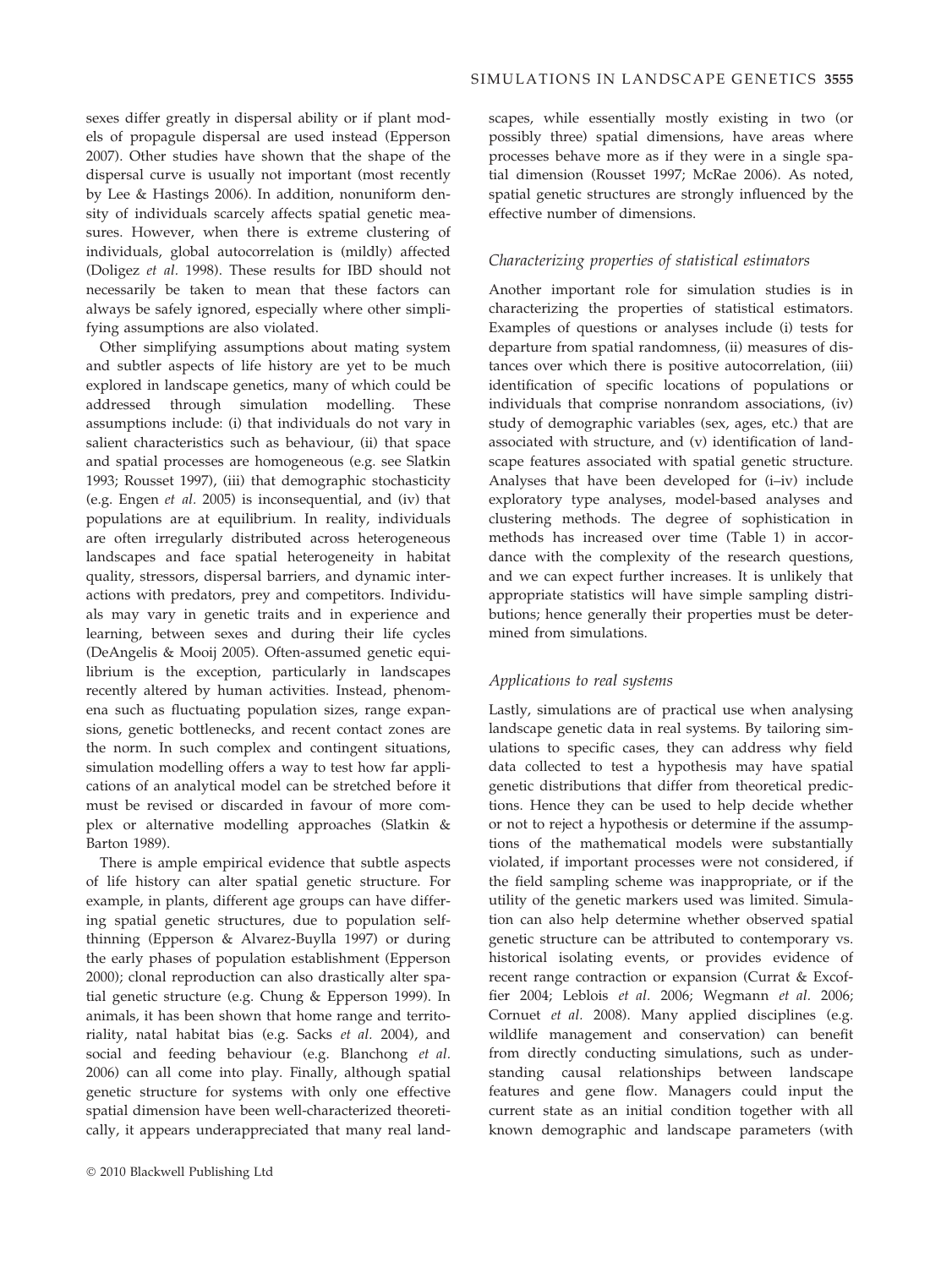sexes differ greatly in dispersal ability or if plant models of propagule dispersal are used instead (Epperson 2007). Other studies have shown that the shape of the dispersal curve is usually not important (most recently by Lee & Hastings 2006). In addition, nonuniform density of individuals scarcely affects spatial genetic measures. However, when there is extreme clustering of individuals, global autocorrelation is (mildly) affected (Doligez et al. 1998). These results for IBD should not necessarily be taken to mean that these factors can always be safely ignored, especially where other simplifying assumptions are also violated.

Other simplifying assumptions about mating system and subtler aspects of life history are yet to be much explored in landscape genetics, many of which could be addressed through simulation modelling. These assumptions include: (i) that individuals do not vary in salient characteristics such as behaviour, (ii) that space and spatial processes are homogeneous (e.g. see Slatkin 1993; Rousset 1997), (iii) that demographic stochasticity (e.g. Engen et al. 2005) is inconsequential, and (iv) that populations are at equilibrium. In reality, individuals are often irregularly distributed across heterogeneous landscapes and face spatial heterogeneity in habitat quality, stressors, dispersal barriers, and dynamic interactions with predators, prey and competitors. Individuals may vary in genetic traits and in experience and learning, between sexes and during their life cycles (DeAngelis & Mooij 2005). Often-assumed genetic equilibrium is the exception, particularly in landscapes recently altered by human activities. Instead, phenomena such as fluctuating population sizes, range expansions, genetic bottlenecks, and recent contact zones are the norm. In such complex and contingent situations, simulation modelling offers a way to test how far applications of an analytical model can be stretched before it must be revised or discarded in favour of more complex or alternative modelling approaches (Slatkin & Barton 1989).

There is ample empirical evidence that subtle aspects of life history can alter spatial genetic structure. For example, in plants, different age groups can have differing spatial genetic structures, due to population selfthinning (Epperson & Alvarez-Buylla 1997) or during the early phases of population establishment (Epperson 2000); clonal reproduction can also drastically alter spatial genetic structure (e.g. Chung & Epperson 1999). In animals, it has been shown that home range and territoriality, natal habitat bias (e.g. Sacks et al. 2004), and social and feeding behaviour (e.g. Blanchong et al. 2006) can all come into play. Finally, although spatial genetic structure for systems with only one effective spatial dimension have been well-characterized theoretically, it appears underappreciated that many real landscapes, while essentially mostly existing in two (or possibly three) spatial dimensions, have areas where processes behave more as if they were in a single spatial dimension (Rousset 1997; McRae 2006). As noted, spatial genetic structures are strongly influenced by the effective number of dimensions.

#### Characterizing properties of statistical estimators

Another important role for simulation studies is in characterizing the properties of statistical estimators. Examples of questions or analyses include (i) tests for departure from spatial randomness, (ii) measures of distances over which there is positive autocorrelation, (iii) identification of specific locations of populations or individuals that comprise nonrandom associations, (iv) study of demographic variables (sex, ages, etc.) that are associated with structure, and (v) identification of landscape features associated with spatial genetic structure. Analyses that have been developed for (i–iv) include exploratory type analyses, model-based analyses and clustering methods. The degree of sophistication in methods has increased over time (Table 1) in accordance with the complexity of the research questions, and we can expect further increases. It is unlikely that appropriate statistics will have simple sampling distributions; hence generally their properties must be determined from simulations.

#### Applications to real systems

Lastly, simulations are of practical use when analysing landscape genetic data in real systems. By tailoring simulations to specific cases, they can address why field data collected to test a hypothesis may have spatial genetic distributions that differ from theoretical predictions. Hence they can be used to help decide whether or not to reject a hypothesis or determine if the assumptions of the mathematical models were substantially violated, if important processes were not considered, if the field sampling scheme was inappropriate, or if the utility of the genetic markers used was limited. Simulation can also help determine whether observed spatial genetic structure can be attributed to contemporary vs. historical isolating events, or provides evidence of recent range contraction or expansion (Currat & Excoffier 2004; Leblois et al. 2006; Wegmann et al. 2006; Cornuet et al. 2008). Many applied disciplines (e.g. wildlife management and conservation) can benefit from directly conducting simulations, such as understanding causal relationships between landscape features and gene flow. Managers could input the current state as an initial condition together with all known demographic and landscape parameters (with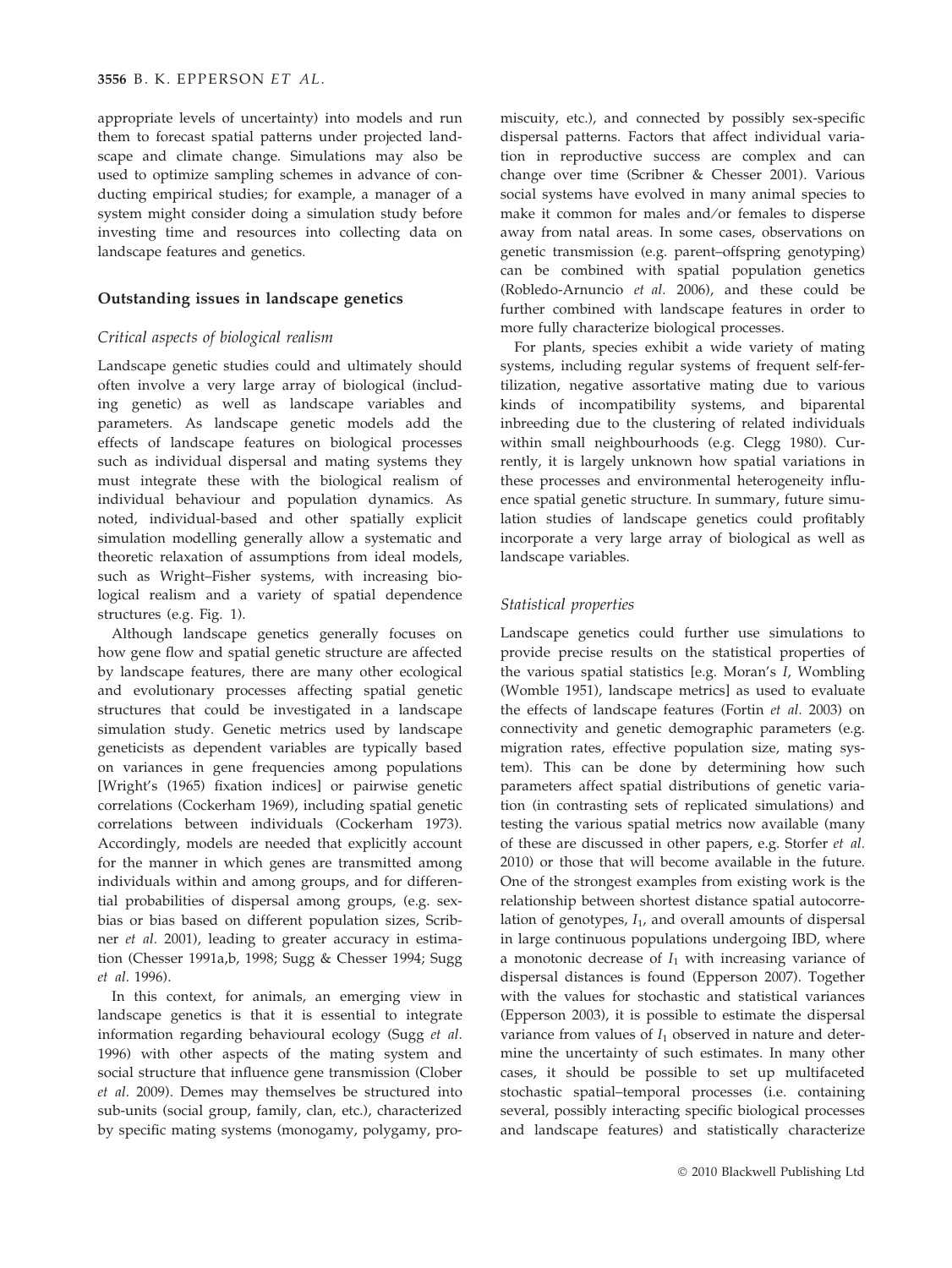appropriate levels of uncertainty) into models and run them to forecast spatial patterns under projected landscape and climate change. Simulations may also be used to optimize sampling schemes in advance of conducting empirical studies; for example, a manager of a system might consider doing a simulation study before investing time and resources into collecting data on landscape features and genetics.

#### Outstanding issues in landscape genetics

#### Critical aspects of biological realism

Landscape genetic studies could and ultimately should often involve a very large array of biological (including genetic) as well as landscape variables and parameters. As landscape genetic models add the effects of landscape features on biological processes such as individual dispersal and mating systems they must integrate these with the biological realism of individual behaviour and population dynamics. As noted, individual-based and other spatially explicit simulation modelling generally allow a systematic and theoretic relaxation of assumptions from ideal models, such as Wright–Fisher systems, with increasing biological realism and a variety of spatial dependence structures (e.g. Fig. 1).

Although landscape genetics generally focuses on how gene flow and spatial genetic structure are affected by landscape features, there are many other ecological and evolutionary processes affecting spatial genetic structures that could be investigated in a landscape simulation study. Genetic metrics used by landscape geneticists as dependent variables are typically based on variances in gene frequencies among populations [Wright's (1965) fixation indices] or pairwise genetic correlations (Cockerham 1969), including spatial genetic correlations between individuals (Cockerham 1973). Accordingly, models are needed that explicitly account for the manner in which genes are transmitted among individuals within and among groups, and for differential probabilities of dispersal among groups, (e.g. sexbias or bias based on different population sizes, Scribner et al. 2001), leading to greater accuracy in estimation (Chesser 1991a,b, 1998; Sugg & Chesser 1994; Sugg et al. 1996).

In this context, for animals, an emerging view in landscape genetics is that it is essential to integrate information regarding behavioural ecology (Sugg et al. 1996) with other aspects of the mating system and social structure that influence gene transmission (Clober et al. 2009). Demes may themselves be structured into sub-units (social group, family, clan, etc.), characterized by specific mating systems (monogamy, polygamy, promiscuity, etc.), and connected by possibly sex-specific dispersal patterns. Factors that affect individual variation in reproductive success are complex and can change over time (Scribner & Chesser 2001). Various social systems have evolved in many animal species to make it common for males and/or females to disperse away from natal areas. In some cases, observations on genetic transmission (e.g. parent–offspring genotyping) can be combined with spatial population genetics (Robledo-Arnuncio et al. 2006), and these could be further combined with landscape features in order to more fully characterize biological processes.

For plants, species exhibit a wide variety of mating systems, including regular systems of frequent self-fertilization, negative assortative mating due to various kinds of incompatibility systems, and biparental inbreeding due to the clustering of related individuals within small neighbourhoods (e.g. Clegg 1980). Currently, it is largely unknown how spatial variations in these processes and environmental heterogeneity influence spatial genetic structure. In summary, future simulation studies of landscape genetics could profitably incorporate a very large array of biological as well as landscape variables.

## Statistical properties

Landscape genetics could further use simulations to provide precise results on the statistical properties of the various spatial statistics [e.g. Moran's I, Wombling (Womble 1951), landscape metrics] as used to evaluate the effects of landscape features (Fortin et al. 2003) on connectivity and genetic demographic parameters (e.g. migration rates, effective population size, mating system). This can be done by determining how such parameters affect spatial distributions of genetic variation (in contrasting sets of replicated simulations) and testing the various spatial metrics now available (many of these are discussed in other papers, e.g. Storfer et al. 2010) or those that will become available in the future. One of the strongest examples from existing work is the relationship between shortest distance spatial autocorrelation of genotypes,  $I_1$ , and overall amounts of dispersal in large continuous populations undergoing IBD, where a monotonic decrease of  $I_1$  with increasing variance of dispersal distances is found (Epperson 2007). Together with the values for stochastic and statistical variances (Epperson 2003), it is possible to estimate the dispersal variance from values of  $I_1$  observed in nature and determine the uncertainty of such estimates. In many other cases, it should be possible to set up multifaceted stochastic spatial–temporal processes (i.e. containing several, possibly interacting specific biological processes and landscape features) and statistically characterize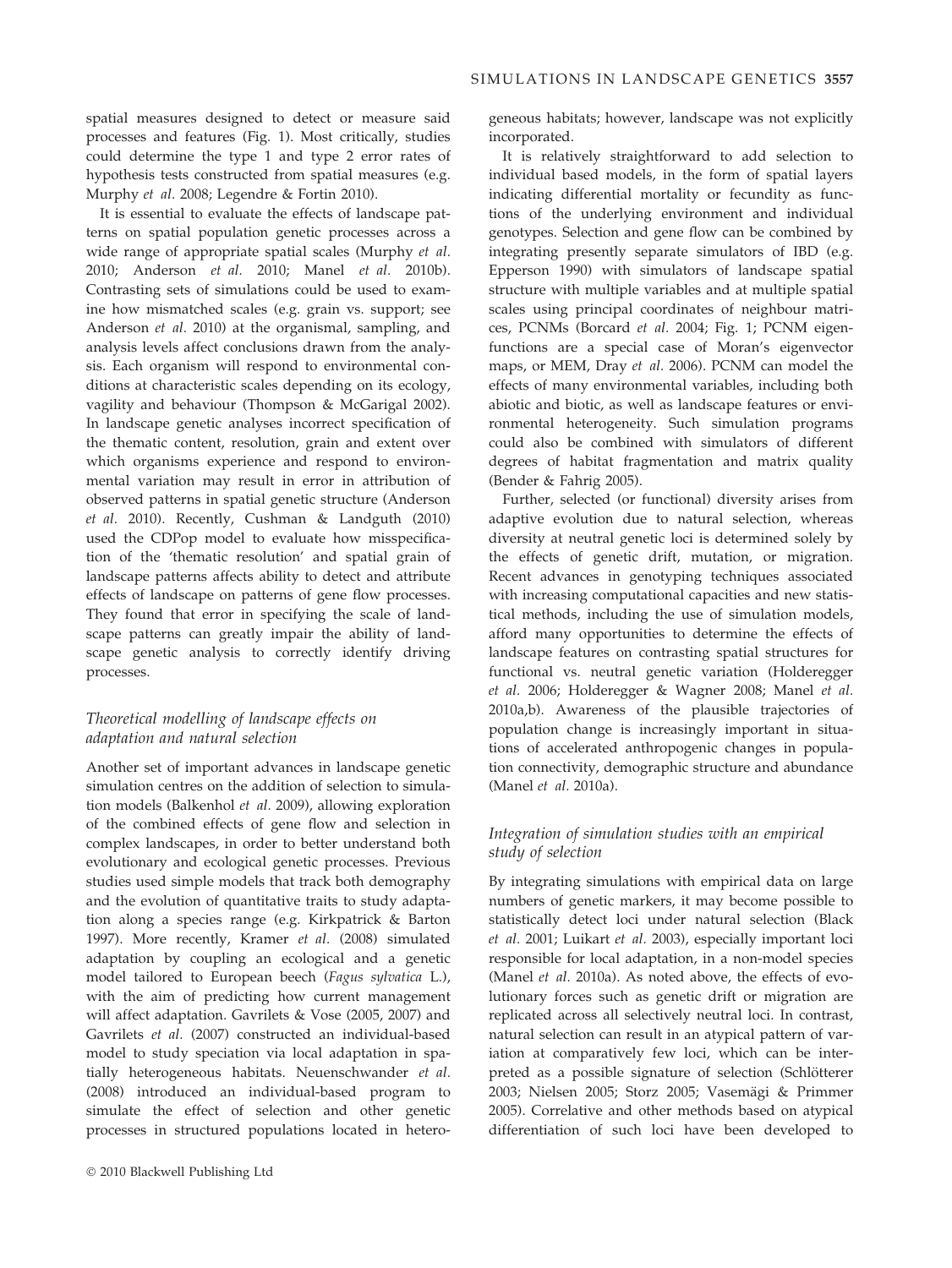spatial measures designed to detect or measure said processes and features (Fig. 1). Most critically, studies could determine the type 1 and type 2 error rates of hypothesis tests constructed from spatial measures (e.g. Murphy et al. 2008; Legendre & Fortin 2010).

It is essential to evaluate the effects of landscape patterns on spatial population genetic processes across a wide range of appropriate spatial scales (Murphy et al. 2010; Anderson et al. 2010; Manel et al. 2010b). Contrasting sets of simulations could be used to examine how mismatched scales (e.g. grain vs. support; see Anderson et al. 2010) at the organismal, sampling, and analysis levels affect conclusions drawn from the analysis. Each organism will respond to environmental conditions at characteristic scales depending on its ecology, vagility and behaviour (Thompson & McGarigal 2002). In landscape genetic analyses incorrect specification of the thematic content, resolution, grain and extent over which organisms experience and respond to environmental variation may result in error in attribution of observed patterns in spatial genetic structure (Anderson et al. 2010). Recently, Cushman & Landguth (2010) used the CDPop model to evaluate how misspecification of the 'thematic resolution' and spatial grain of landscape patterns affects ability to detect and attribute effects of landscape on patterns of gene flow processes. They found that error in specifying the scale of landscape patterns can greatly impair the ability of landscape genetic analysis to correctly identify driving processes.

# Theoretical modelling of landscape effects on adaptation and natural selection

Another set of important advances in landscape genetic simulation centres on the addition of selection to simulation models (Balkenhol et al. 2009), allowing exploration of the combined effects of gene flow and selection in complex landscapes, in order to better understand both evolutionary and ecological genetic processes. Previous studies used simple models that track both demography and the evolution of quantitative traits to study adaptation along a species range (e.g. Kirkpatrick & Barton 1997). More recently, Kramer et al. (2008) simulated adaptation by coupling an ecological and a genetic model tailored to European beech (Fagus sylvatica L.), with the aim of predicting how current management will affect adaptation. Gavrilets & Vose (2005, 2007) and Gavrilets et al. (2007) constructed an individual-based model to study speciation via local adaptation in spatially heterogeneous habitats. Neuenschwander et al. (2008) introduced an individual-based program to simulate the effect of selection and other genetic processes in structured populations located in heterogeneous habitats; however, landscape was not explicitly incorporated.

It is relatively straightforward to add selection to individual based models, in the form of spatial layers indicating differential mortality or fecundity as functions of the underlying environment and individual genotypes. Selection and gene flow can be combined by integrating presently separate simulators of IBD (e.g. Epperson 1990) with simulators of landscape spatial structure with multiple variables and at multiple spatial scales using principal coordinates of neighbour matrices, PCNMs (Borcard et al. 2004; Fig. 1; PCNM eigenfunctions are a special case of Moran's eigenvector maps, or MEM, Dray et al. 2006). PCNM can model the effects of many environmental variables, including both abiotic and biotic, as well as landscape features or environmental heterogeneity. Such simulation programs could also be combined with simulators of different degrees of habitat fragmentation and matrix quality (Bender & Fahrig 2005).

Further, selected (or functional) diversity arises from adaptive evolution due to natural selection, whereas diversity at neutral genetic loci is determined solely by the effects of genetic drift, mutation, or migration. Recent advances in genotyping techniques associated with increasing computational capacities and new statistical methods, including the use of simulation models, afford many opportunities to determine the effects of landscape features on contrasting spatial structures for functional vs. neutral genetic variation (Holderegger et al. 2006; Holderegger & Wagner 2008; Manel et al. 2010a,b). Awareness of the plausible trajectories of population change is increasingly important in situations of accelerated anthropogenic changes in population connectivity, demographic structure and abundance (Manel et al. 2010a).

## Integration of simulation studies with an empirical study of selection

By integrating simulations with empirical data on large numbers of genetic markers, it may become possible to statistically detect loci under natural selection (Black et al. 2001; Luikart et al. 2003), especially important loci responsible for local adaptation, in a non-model species (Manel et al. 2010a). As noted above, the effects of evolutionary forces such as genetic drift or migration are replicated across all selectively neutral loci. In contrast, natural selection can result in an atypical pattern of variation at comparatively few loci, which can be interpreted as a possible signature of selection (Schlötterer 2003; Nielsen 2005; Storz 2005; Vasemägi & Primmer 2005). Correlative and other methods based on atypical differentiation of such loci have been developed to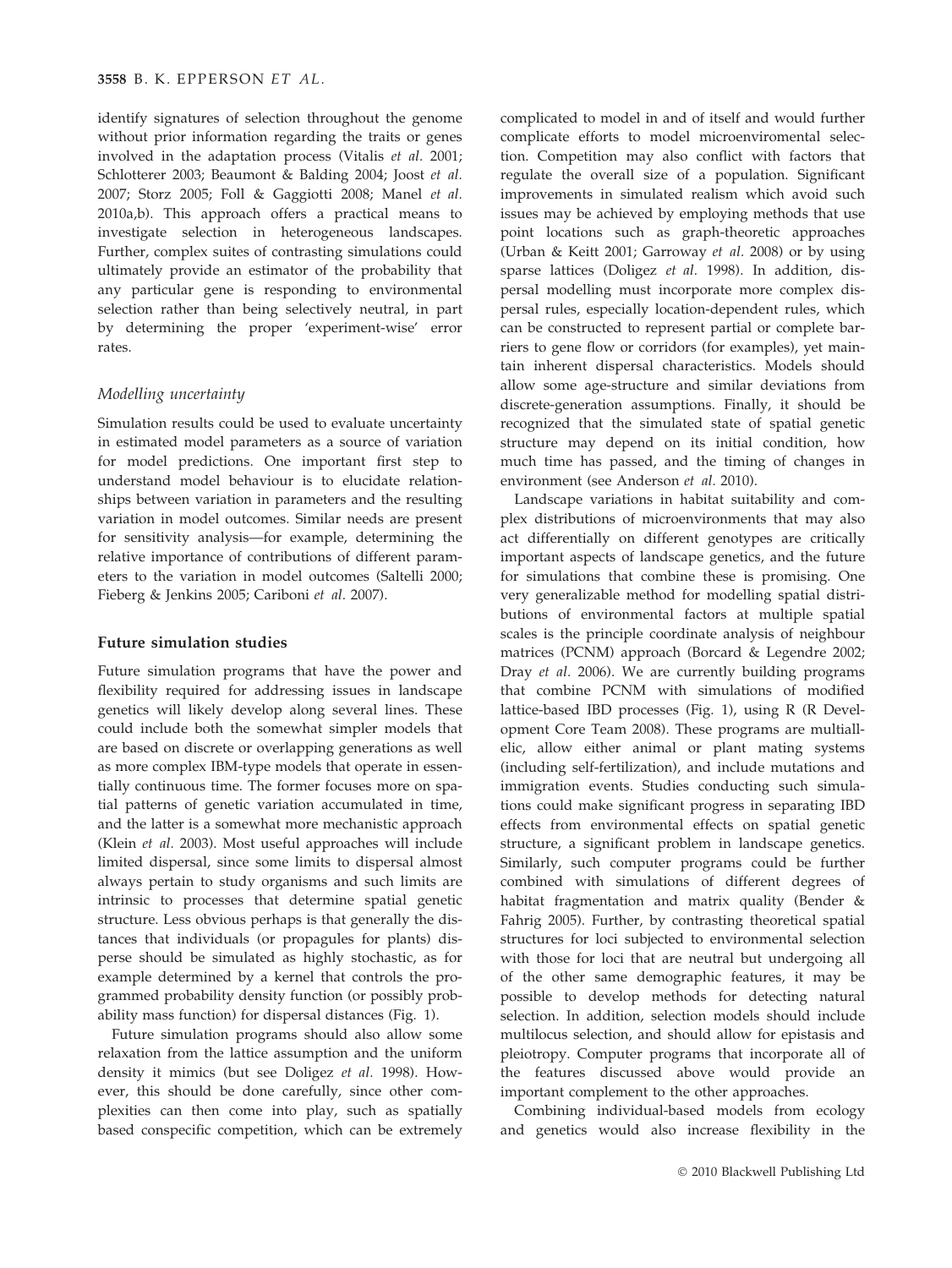identify signatures of selection throughout the genome without prior information regarding the traits or genes involved in the adaptation process (Vitalis et al. 2001; Schlotterer 2003; Beaumont & Balding 2004; Joost et al. 2007; Storz 2005; Foll & Gaggiotti 2008; Manel et al. 2010a,b). This approach offers a practical means to investigate selection in heterogeneous landscapes. Further, complex suites of contrasting simulations could ultimately provide an estimator of the probability that any particular gene is responding to environmental selection rather than being selectively neutral, in part by determining the proper 'experiment-wise' error rates.

#### Modelling uncertainty

Simulation results could be used to evaluate uncertainty in estimated model parameters as a source of variation for model predictions. One important first step to understand model behaviour is to elucidate relationships between variation in parameters and the resulting variation in model outcomes. Similar needs are present for sensitivity analysis—for example, determining the relative importance of contributions of different parameters to the variation in model outcomes (Saltelli 2000; Fieberg & Jenkins 2005; Cariboni et al. 2007).

#### Future simulation studies

Future simulation programs that have the power and flexibility required for addressing issues in landscape genetics will likely develop along several lines. These could include both the somewhat simpler models that are based on discrete or overlapping generations as well as more complex IBM-type models that operate in essentially continuous time. The former focuses more on spatial patterns of genetic variation accumulated in time, and the latter is a somewhat more mechanistic approach (Klein et al. 2003). Most useful approaches will include limited dispersal, since some limits to dispersal almost always pertain to study organisms and such limits are intrinsic to processes that determine spatial genetic structure. Less obvious perhaps is that generally the distances that individuals (or propagules for plants) disperse should be simulated as highly stochastic, as for example determined by a kernel that controls the programmed probability density function (or possibly probability mass function) for dispersal distances (Fig. 1).

Future simulation programs should also allow some relaxation from the lattice assumption and the uniform density it mimics (but see Doligez et al. 1998). However, this should be done carefully, since other complexities can then come into play, such as spatially based conspecific competition, which can be extremely complicated to model in and of itself and would further complicate efforts to model microenviromental selection. Competition may also conflict with factors that regulate the overall size of a population. Significant improvements in simulated realism which avoid such issues may be achieved by employing methods that use point locations such as graph-theoretic approaches (Urban & Keitt 2001; Garroway et al. 2008) or by using sparse lattices (Doligez et al. 1998). In addition, dispersal modelling must incorporate more complex dispersal rules, especially location-dependent rules, which can be constructed to represent partial or complete barriers to gene flow or corridors (for examples), yet maintain inherent dispersal characteristics. Models should allow some age-structure and similar deviations from discrete-generation assumptions. Finally, it should be recognized that the simulated state of spatial genetic structure may depend on its initial condition, how much time has passed, and the timing of changes in environment (see Anderson et al. 2010).

Landscape variations in habitat suitability and complex distributions of microenvironments that may also act differentially on different genotypes are critically important aspects of landscape genetics, and the future for simulations that combine these is promising. One very generalizable method for modelling spatial distributions of environmental factors at multiple spatial scales is the principle coordinate analysis of neighbour matrices (PCNM) approach (Borcard & Legendre 2002; Dray et al. 2006). We are currently building programs that combine PCNM with simulations of modified lattice-based IBD processes (Fig. 1), using R (R Development Core Team 2008). These programs are multiallelic, allow either animal or plant mating systems (including self-fertilization), and include mutations and immigration events. Studies conducting such simulations could make significant progress in separating IBD effects from environmental effects on spatial genetic structure, a significant problem in landscape genetics. Similarly, such computer programs could be further combined with simulations of different degrees of habitat fragmentation and matrix quality (Bender & Fahrig 2005). Further, by contrasting theoretical spatial structures for loci subjected to environmental selection with those for loci that are neutral but undergoing all of the other same demographic features, it may be possible to develop methods for detecting natural selection. In addition, selection models should include multilocus selection, and should allow for epistasis and pleiotropy. Computer programs that incorporate all of the features discussed above would provide an important complement to the other approaches.

Combining individual-based models from ecology and genetics would also increase flexibility in the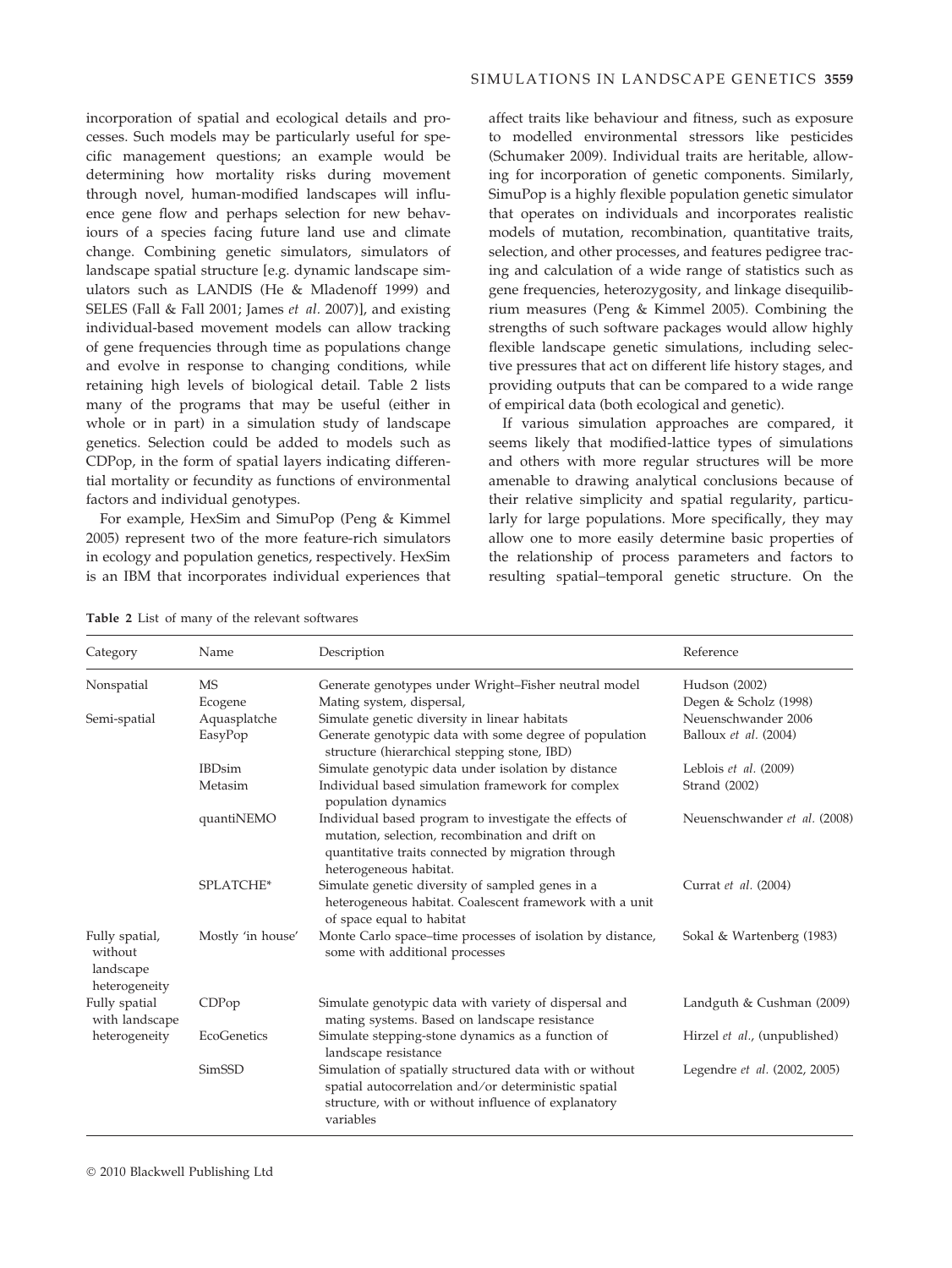incorporation of spatial and ecological details and processes. Such models may be particularly useful for specific management questions; an example would be determining how mortality risks during movement through novel, human-modified landscapes will influence gene flow and perhaps selection for new behaviours of a species facing future land use and climate change. Combining genetic simulators, simulators of landscape spatial structure [e.g. dynamic landscape simulators such as LANDIS (He & Mladenoff 1999) and SELES (Fall & Fall 2001; James et al. 2007)], and existing individual-based movement models can allow tracking of gene frequencies through time as populations change and evolve in response to changing conditions, while retaining high levels of biological detail. Table 2 lists many of the programs that may be useful (either in whole or in part) in a simulation study of landscape genetics. Selection could be added to models such as CDPop, in the form of spatial layers indicating differential mortality or fecundity as functions of environmental factors and individual genotypes.

For example, HexSim and SimuPop (Peng & Kimmel 2005) represent two of the more feature-rich simulators in ecology and population genetics, respectively. HexSim is an IBM that incorporates individual experiences that

affect traits like behaviour and fitness, such as exposure to modelled environmental stressors like pesticides (Schumaker 2009). Individual traits are heritable, allowing for incorporation of genetic components. Similarly, SimuPop is a highly flexible population genetic simulator that operates on individuals and incorporates realistic models of mutation, recombination, quantitative traits, selection, and other processes, and features pedigree tracing and calculation of a wide range of statistics such as gene frequencies, heterozygosity, and linkage disequilibrium measures (Peng & Kimmel 2005). Combining the strengths of such software packages would allow highly flexible landscape genetic simulations, including selective pressures that act on different life history stages, and providing outputs that can be compared to a wide range of empirical data (both ecological and genetic).

If various simulation approaches are compared, it seems likely that modified-lattice types of simulations and others with more regular structures will be more amenable to drawing analytical conclusions because of their relative simplicity and spatial regularity, particularly for large populations. More specifically, they may allow one to more easily determine basic properties of the relationship of process parameters and factors to resulting spatial–temporal genetic structure. On the

| Category                                                | Name                                                                                                              | Description                                                                                                                                                                               | Reference                    |
|---------------------------------------------------------|-------------------------------------------------------------------------------------------------------------------|-------------------------------------------------------------------------------------------------------------------------------------------------------------------------------------------|------------------------------|
| Nonspatial                                              | <b>MS</b>                                                                                                         | Generate genotypes under Wright–Fisher neutral model                                                                                                                                      | Hudson (2002)                |
|                                                         | Ecogene                                                                                                           | Mating system, dispersal,                                                                                                                                                                 | Degen & Scholz (1998)        |
| Semi-spatial                                            | Aquasplatche                                                                                                      | Simulate genetic diversity in linear habitats                                                                                                                                             | Neuenschwander 2006          |
|                                                         | EasyPop                                                                                                           | Generate genotypic data with some degree of population<br>structure (hierarchical stepping stone, IBD)                                                                                    | Balloux et al. (2004)        |
|                                                         | <b>IBDsim</b>                                                                                                     | Simulate genotypic data under isolation by distance                                                                                                                                       | Leblois et al. (2009)        |
|                                                         | Metasim                                                                                                           | Individual based simulation framework for complex<br>population dynamics                                                                                                                  | Strand (2002)                |
|                                                         | quantiNEMO                                                                                                        | Individual based program to investigate the effects of<br>mutation, selection, recombination and drift on<br>quantitative traits connected by migration through<br>heterogeneous habitat. | Neuenschwander et al. (2008) |
|                                                         | SPLATCHE*                                                                                                         | Simulate genetic diversity of sampled genes in a<br>heterogeneous habitat. Coalescent framework with a unit<br>of space equal to habitat                                                  | Currat et al. (2004)         |
| Fully spatial,<br>without<br>landscape<br>heterogeneity | Monte Carlo space-time processes of isolation by distance,<br>Mostly 'in house'<br>some with additional processes |                                                                                                                                                                                           | Sokal & Wartenberg (1983)    |
| Fully spatial<br>with landscape                         | CDPop                                                                                                             | Simulate genotypic data with variety of dispersal and<br>mating systems. Based on landscape resistance                                                                                    | Landguth & Cushman (2009)    |
| heterogeneity                                           | EcoGenetics                                                                                                       | Simulate stepping-stone dynamics as a function of<br>landscape resistance                                                                                                                 | Hirzel et al., (unpublished) |
|                                                         | SimSSD                                                                                                            | Simulation of spatially structured data with or without<br>spatial autocorrelation and/or deterministic spatial<br>structure, with or without influence of explanatory<br>variables       | Legendre et al. (2002, 2005) |

|  |  |  |  |  |  |  |  | <b>Table 2</b> List of many of the relevant softwares |
|--|--|--|--|--|--|--|--|-------------------------------------------------------|
|--|--|--|--|--|--|--|--|-------------------------------------------------------|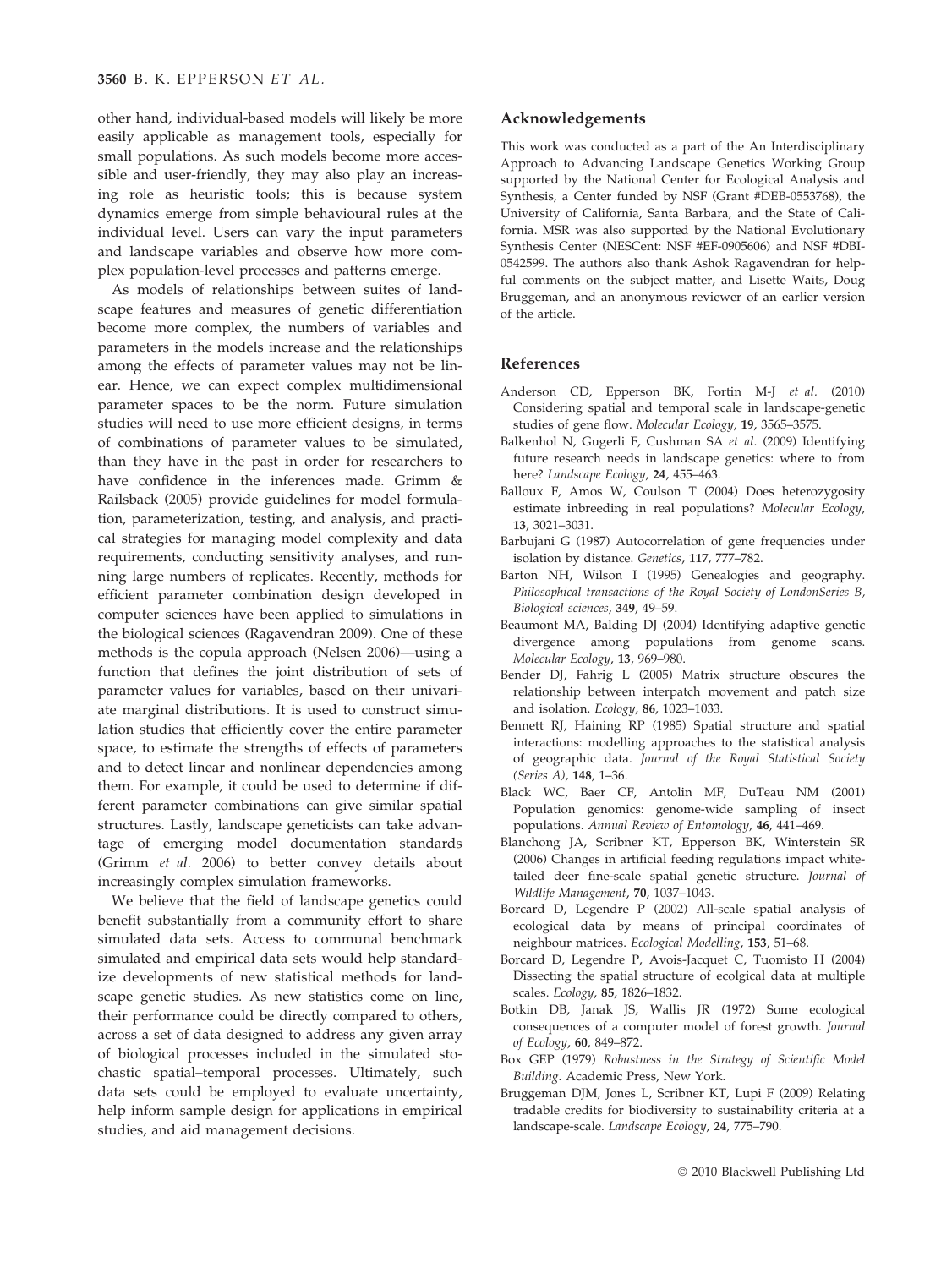other hand, individual-based models will likely be more easily applicable as management tools, especially for small populations. As such models become more accessible and user-friendly, they may also play an increasing role as heuristic tools; this is because system dynamics emerge from simple behavioural rules at the individual level. Users can vary the input parameters and landscape variables and observe how more complex population-level processes and patterns emerge.

As models of relationships between suites of landscape features and measures of genetic differentiation become more complex, the numbers of variables and parameters in the models increase and the relationships among the effects of parameter values may not be linear. Hence, we can expect complex multidimensional parameter spaces to be the norm. Future simulation studies will need to use more efficient designs, in terms of combinations of parameter values to be simulated, than they have in the past in order for researchers to have confidence in the inferences made. Grimm & Railsback (2005) provide guidelines for model formulation, parameterization, testing, and analysis, and practical strategies for managing model complexity and data requirements, conducting sensitivity analyses, and running large numbers of replicates. Recently, methods for efficient parameter combination design developed in computer sciences have been applied to simulations in the biological sciences (Ragavendran 2009). One of these methods is the copula approach (Nelsen 2006)—using a function that defines the joint distribution of sets of parameter values for variables, based on their univariate marginal distributions. It is used to construct simulation studies that efficiently cover the entire parameter space, to estimate the strengths of effects of parameters and to detect linear and nonlinear dependencies among them. For example, it could be used to determine if different parameter combinations can give similar spatial structures. Lastly, landscape geneticists can take advantage of emerging model documentation standards (Grimm et al. 2006) to better convey details about increasingly complex simulation frameworks.

We believe that the field of landscape genetics could benefit substantially from a community effort to share simulated data sets. Access to communal benchmark simulated and empirical data sets would help standardize developments of new statistical methods for landscape genetic studies. As new statistics come on line, their performance could be directly compared to others, across a set of data designed to address any given array of biological processes included in the simulated stochastic spatial–temporal processes. Ultimately, such data sets could be employed to evaluate uncertainty, help inform sample design for applications in empirical studies, and aid management decisions.

#### Acknowledgements

This work was conducted as a part of the An Interdisciplinary Approach to Advancing Landscape Genetics Working Group supported by the National Center for Ecological Analysis and Synthesis, a Center funded by NSF (Grant #DEB-0553768), the University of California, Santa Barbara, and the State of California. MSR was also supported by the National Evolutionary Synthesis Center (NESCent: NSF #EF-0905606) and NSF #DBI-0542599. The authors also thank Ashok Ragavendran for helpful comments on the subject matter, and Lisette Waits, Doug Bruggeman, and an anonymous reviewer of an earlier version of the article.

#### References

- Anderson CD, Epperson BK, Fortin M-J et al. (2010) Considering spatial and temporal scale in landscape-genetic studies of gene flow. Molecular Ecology, 19, 3565–3575.
- Balkenhol N, Gugerli F, Cushman SA et al. (2009) Identifying future research needs in landscape genetics: where to from here? Landscape Ecology, 24, 455–463.
- Balloux F, Amos W, Coulson T (2004) Does heterozygosity estimate inbreeding in real populations? Molecular Ecology, 13, 3021–3031.
- Barbujani G (1987) Autocorrelation of gene frequencies under isolation by distance. Genetics, 117, 777–782.
- Barton NH, Wilson I (1995) Genealogies and geography. Philosophical transactions of the Royal Society of LondonSeries B, Biological sciences, 349, 49–59.
- Beaumont MA, Balding DJ (2004) Identifying adaptive genetic divergence among populations from genome scans. Molecular Ecology, 13, 969–980.
- Bender DJ, Fahrig L (2005) Matrix structure obscures the relationship between interpatch movement and patch size and isolation. Ecology, 86, 1023–1033.
- Bennett RJ, Haining RP (1985) Spatial structure and spatial interactions: modelling approaches to the statistical analysis of geographic data. Journal of the Royal Statistical Society (Series A), 148, 1–36.
- Black WC, Baer CF, Antolin MF, DuTeau NM (2001) Population genomics: genome-wide sampling of insect populations. Annual Review of Entomology, 46, 441–469.
- Blanchong JA, Scribner KT, Epperson BK, Winterstein SR (2006) Changes in artificial feeding regulations impact whitetailed deer fine-scale spatial genetic structure. Journal of Wildlife Management, 70, 1037–1043.
- Borcard D, Legendre P (2002) All-scale spatial analysis of ecological data by means of principal coordinates of neighbour matrices. Ecological Modelling, 153, 51–68.
- Borcard D, Legendre P, Avois-Jacquet C, Tuomisto H (2004) Dissecting the spatial structure of ecolgical data at multiple scales. Ecology, 85, 1826–1832.
- Botkin DB, Janak JS, Wallis JR (1972) Some ecological consequences of a computer model of forest growth. Journal of Ecology, 60, 849–872.
- Box GEP (1979) Robustness in the Strategy of Scientific Model Building. Academic Press, New York.
- Bruggeman DJM, Jones L, Scribner KT, Lupi F (2009) Relating tradable credits for biodiversity to sustainability criteria at a landscape-scale. Landscape Ecology, 24, 775-790.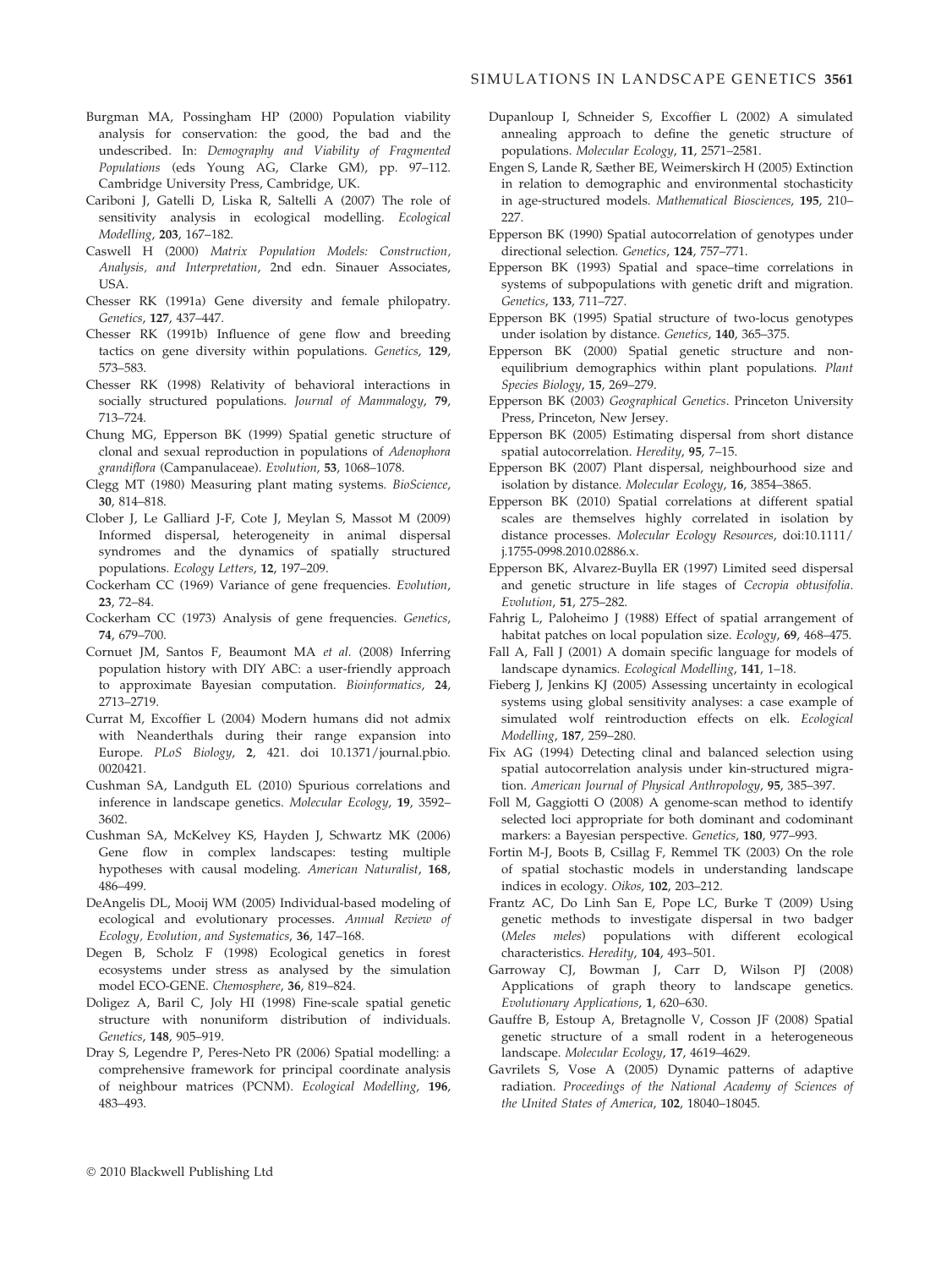- Burgman MA, Possingham HP (2000) Population viability analysis for conservation: the good, the bad and the undescribed. In: Demography and Viability of Fragmented Populations (eds Young AG, Clarke GM), pp. 97–112. Cambridge University Press, Cambridge, UK.
- Cariboni J, Gatelli D, Liska R, Saltelli A (2007) The role of sensitivity analysis in ecological modelling. Ecological Modelling, 203, 167–182.
- Caswell H (2000) Matrix Population Models: Construction, Analysis, and Interpretation, 2nd edn. Sinauer Associates, USA.
- Chesser RK (1991a) Gene diversity and female philopatry. Genetics, 127, 437–447.
- Chesser RK (1991b) Influence of gene flow and breeding tactics on gene diversity within populations. Genetics, 129, 573–583.
- Chesser RK (1998) Relativity of behavioral interactions in socially structured populations. Journal of Mammalogy, 79, 713–724.
- Chung MG, Epperson BK (1999) Spatial genetic structure of clonal and sexual reproduction in populations of Adenophora grandiflora (Campanulaceae). Evolution, 53, 1068–1078.
- Clegg MT (1980) Measuring plant mating systems. BioScience, 30, 814–818.
- Clober J, Le Galliard J-F, Cote J, Meylan S, Massot M (2009) Informed dispersal, heterogeneity in animal dispersal syndromes and the dynamics of spatially structured populations. Ecology Letters, 12, 197–209.
- Cockerham CC (1969) Variance of gene frequencies. Evolution, 23, 72–84.
- Cockerham CC (1973) Analysis of gene frequencies. Genetics, 74, 679–700.
- Cornuet JM, Santos F, Beaumont MA et al. (2008) Inferring population history with DIY ABC: a user-friendly approach to approximate Bayesian computation. Bioinformatics, 24, 2713–2719.
- Currat M, Excoffier L (2004) Modern humans did not admix with Neanderthals during their range expansion into Europe. PLoS Biology, 2, 421. doi 10.1371/journal.pbio. 0020421.
- Cushman SA, Landguth EL (2010) Spurious correlations and inference in landscape genetics. Molecular Ecology, 19, 3592– 3602.
- Cushman SA, McKelvey KS, Hayden J, Schwartz MK (2006) Gene flow in complex landscapes: testing multiple hypotheses with causal modeling. American Naturalist, 168, 486–499.
- DeAngelis DL, Mooij WM (2005) Individual-based modeling of ecological and evolutionary processes. Annual Review of Ecology, Evolution, and Systematics, 36, 147–168.
- Degen B, Scholz F (1998) Ecological genetics in forest ecosystems under stress as analysed by the simulation model ECO-GENE. Chemosphere, 36, 819–824.
- Doligez A, Baril C, Joly HI (1998) Fine-scale spatial genetic structure with nonuniform distribution of individuals. Genetics, 148, 905–919.
- Dray S, Legendre P, Peres-Neto PR (2006) Spatial modelling: a comprehensive framework for principal coordinate analysis of neighbour matrices (PCNM). Ecological Modelling, 196, 483–493.
- Dupanloup I, Schneider S, Excoffier L (2002) A simulated annealing approach to define the genetic structure of populations. Molecular Ecology, 11, 2571–2581.
- Engen S, Lande R, Sæther BE, Weimerskirch H (2005) Extinction in relation to demographic and environmental stochasticity in age-structured models. Mathematical Biosciences, 195, 210– 227.
- Epperson BK (1990) Spatial autocorrelation of genotypes under directional selection. Genetics, 124, 757–771.
- Epperson BK (1993) Spatial and space–time correlations in systems of subpopulations with genetic drift and migration. Genetics, 133, 711–727.
- Epperson BK (1995) Spatial structure of two-locus genotypes under isolation by distance. Genetics, 140, 365–375.
- Epperson BK (2000) Spatial genetic structure and nonequilibrium demographics within plant populations. Plant Species Biology, 15, 269–279.
- Epperson BK (2003) Geographical Genetics. Princeton University Press, Princeton, New Jersey.
- Epperson BK (2005) Estimating dispersal from short distance spatial autocorrelation. Heredity, 95, 7–15.
- Epperson BK (2007) Plant dispersal, neighbourhood size and isolation by distance. Molecular Ecology, 16, 3854–3865.
- Epperson BK (2010) Spatial correlations at different spatial scales are themselves highly correlated in isolation by distance processes. Molecular Ecology Resources, doi:10.1111/ j.1755-0998.2010.02886.x.
- Epperson BK, Alvarez-Buylla ER (1997) Limited seed dispersal and genetic structure in life stages of Cecropia obtusifolia. Evolution, 51, 275–282.
- Fahrig L, Paloheimo J (1988) Effect of spatial arrangement of habitat patches on local population size. Ecology, 69, 468–475.
- Fall A, Fall J (2001) A domain specific language for models of landscape dynamics. Ecological Modelling, 141, 1–18.
- Fieberg J, Jenkins KJ (2005) Assessing uncertainty in ecological systems using global sensitivity analyses: a case example of simulated wolf reintroduction effects on elk. Ecological Modelling, 187, 259–280.
- Fix AG (1994) Detecting clinal and balanced selection using spatial autocorrelation analysis under kin-structured migration. American Journal of Physical Anthropology, 95, 385–397.
- Foll M, Gaggiotti O (2008) A genome-scan method to identify selected loci appropriate for both dominant and codominant markers: a Bayesian perspective. Genetics, 180, 977–993.
- Fortin M-J, Boots B, Csillag F, Remmel TK (2003) On the role of spatial stochastic models in understanding landscape indices in ecology. Oikos, 102, 203–212.
- Frantz AC, Do Linh San E, Pope LC, Burke T (2009) Using genetic methods to investigate dispersal in two badger (Meles meles) populations with different ecological characteristics. Heredity, 104, 493–501.
- Garroway CJ, Bowman J, Carr D, Wilson PJ (2008) Applications of graph theory to landscape genetics. Evolutionary Applications, 1, 620–630.
- Gauffre B, Estoup A, Bretagnolle V, Cosson JF (2008) Spatial genetic structure of a small rodent in a heterogeneous landscape. Molecular Ecology, 17, 4619–4629.
- Gavrilets S, Vose A (2005) Dynamic patterns of adaptive radiation. Proceedings of the National Academy of Sciences of the United States of America, 102, 18040–18045.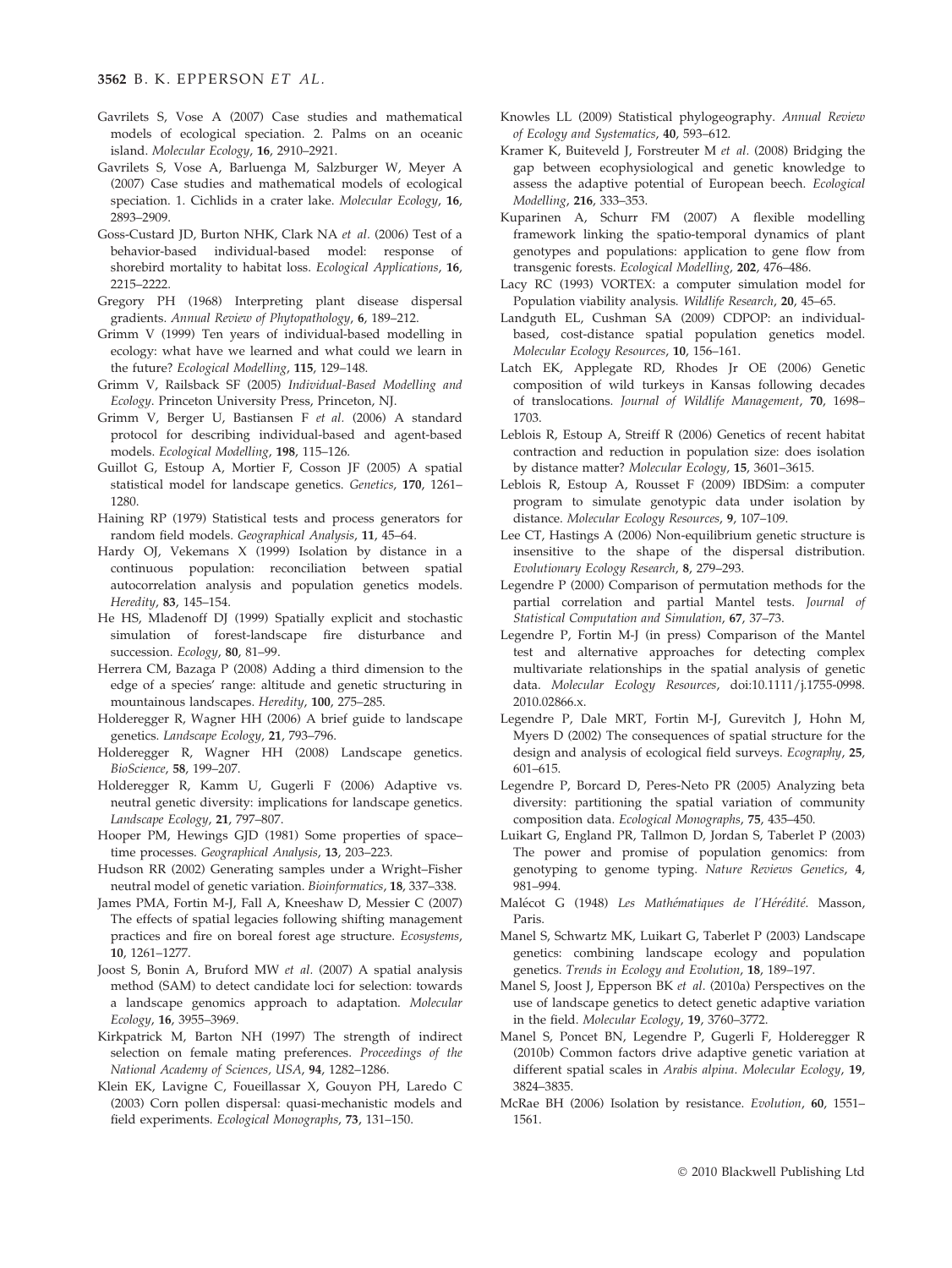- Gavrilets S, Vose A (2007) Case studies and mathematical models of ecological speciation. 2. Palms on an oceanic island. Molecular Ecology, 16, 2910–2921.
- Gavrilets S, Vose A, Barluenga M, Salzburger W, Meyer A (2007) Case studies and mathematical models of ecological speciation. 1. Cichlids in a crater lake. Molecular Ecology, 16, 2893–2909.
- Goss-Custard JD, Burton NHK, Clark NA et al. (2006) Test of a behavior-based individual-based model: response of shorebird mortality to habitat loss. Ecological Applications, 16, 2215–2222.
- Gregory PH (1968) Interpreting plant disease dispersal gradients. Annual Review of Phytopathology, 6, 189–212.
- Grimm V (1999) Ten years of individual-based modelling in ecology: what have we learned and what could we learn in the future? Ecological Modelling, 115, 129–148.
- Grimm V, Railsback SF (2005) Individual-Based Modelling and Ecology. Princeton University Press, Princeton, NJ.
- Grimm V, Berger U, Bastiansen F et al. (2006) A standard protocol for describing individual-based and agent-based models. Ecological Modelling, 198, 115–126.
- Guillot G, Estoup A, Mortier F, Cosson JF (2005) A spatial statistical model for landscape genetics. Genetics, 170, 1261– 1280.
- Haining RP (1979) Statistical tests and process generators for random field models. Geographical Analysis, 11, 45–64.
- Hardy OJ, Vekemans X (1999) Isolation by distance in a continuous population: reconciliation between spatial autocorrelation analysis and population genetics models. Heredity, 83, 145–154.
- He HS, Mladenoff DJ (1999) Spatially explicit and stochastic simulation of forest-landscape fire disturbance and succession. Ecology, 80, 81-99.
- Herrera CM, Bazaga P (2008) Adding a third dimension to the edge of a species' range: altitude and genetic structuring in mountainous landscapes. Heredity, 100, 275–285.
- Holderegger R, Wagner HH (2006) A brief guide to landscape genetics. Landscape Ecology, 21, 793–796.
- Holderegger R, Wagner HH (2008) Landscape genetics. BioScience, 58, 199–207.
- Holderegger R, Kamm U, Gugerli F (2006) Adaptive vs. neutral genetic diversity: implications for landscape genetics. Landscape Ecology, 21, 797–807.
- Hooper PM, Hewings GJD (1981) Some properties of space– time processes. Geographical Analysis, 13, 203–223.
- Hudson RR (2002) Generating samples under a Wright–Fisher neutral model of genetic variation. Bioinformatics, 18, 337–338.
- James PMA, Fortin M-J, Fall A, Kneeshaw D, Messier C (2007) The effects of spatial legacies following shifting management practices and fire on boreal forest age structure. Ecosystems, 10, 1261–1277.
- Joost S, Bonin A, Bruford MW et al. (2007) A spatial analysis method (SAM) to detect candidate loci for selection: towards a landscape genomics approach to adaptation. Molecular Ecology, 16, 3955–3969.
- Kirkpatrick M, Barton NH (1997) The strength of indirect selection on female mating preferences. Proceedings of the National Academy of Sciences, USA, 94, 1282–1286.
- Klein EK, Lavigne C, Foueillassar X, Gouyon PH, Laredo C (2003) Corn pollen dispersal: quasi-mechanistic models and field experiments. Ecological Monographs, 73, 131–150.
- Knowles LL (2009) Statistical phylogeography. Annual Review of Ecology and Systematics, 40, 593–612.
- Kramer K, Buiteveld J, Forstreuter M et al. (2008) Bridging the gap between ecophysiological and genetic knowledge to assess the adaptive potential of European beech. Ecological Modelling, 216, 333–353.
- Kuparinen A, Schurr FM (2007) A flexible modelling framework linking the spatio-temporal dynamics of plant genotypes and populations: application to gene flow from transgenic forests. Ecological Modelling, 202, 476–486.
- Lacy RC (1993) VORTEX: a computer simulation model for Population viability analysis. Wildlife Research, 20, 45–65.
- Landguth EL, Cushman SA (2009) CDPOP: an individualbased, cost-distance spatial population genetics model. Molecular Ecology Resources, 10, 156–161.
- Latch EK, Applegate RD, Rhodes Jr OE (2006) Genetic composition of wild turkeys in Kansas following decades of translocations. Journal of Wildlife Management, 70, 1698– 1703.
- Leblois R, Estoup A, Streiff R (2006) Genetics of recent habitat contraction and reduction in population size: does isolation by distance matter? Molecular Ecology, 15, 3601–3615.
- Leblois R, Estoup A, Rousset F (2009) IBDSim: a computer program to simulate genotypic data under isolation by distance. Molecular Ecology Resources, 9, 107-109.
- Lee CT, Hastings A (2006) Non-equilibrium genetic structure is insensitive to the shape of the dispersal distribution. Evolutionary Ecology Research, 8, 279–293.
- Legendre P (2000) Comparison of permutation methods for the partial correlation and partial Mantel tests. Journal of Statistical Computation and Simulation, 67, 37–73.
- Legendre P, Fortin M-J (in press) Comparison of the Mantel test and alternative approaches for detecting complex multivariate relationships in the spatial analysis of genetic data. Molecular Ecology Resources, doi:10.1111/j.1755-0998. 2010.02866.x.
- Legendre P, Dale MRT, Fortin M-J, Gurevitch J, Hohn M, Myers D (2002) The consequences of spatial structure for the design and analysis of ecological field surveys. Ecography, 25, 601–615.
- Legendre P, Borcard D, Peres-Neto PR (2005) Analyzing beta diversity: partitioning the spatial variation of community composition data. Ecological Monographs, 75, 435–450.
- Luikart G, England PR, Tallmon D, Jordan S, Taberlet P (2003) The power and promise of population genomics: from genotyping to genome typing. Nature Reviews Genetics, 4, 981–994.
- Malécot G (1948) Les Mathématiques de l'Hérédité. Masson, Paris.
- Manel S, Schwartz MK, Luikart G, Taberlet P (2003) Landscape genetics: combining landscape ecology and population genetics. Trends in Ecology and Evolution, 18, 189–197.
- Manel S, Joost J, Epperson BK et al. (2010a) Perspectives on the use of landscape genetics to detect genetic adaptive variation in the field. Molecular Ecology, 19, 3760–3772.
- Manel S, Poncet BN, Legendre P, Gugerli F, Holderegger R (2010b) Common factors drive adaptive genetic variation at different spatial scales in Arabis alpina. Molecular Ecology, 19, 3824–3835.
- McRae BH (2006) Isolation by resistance. Evolution, 60, 1551– 1561.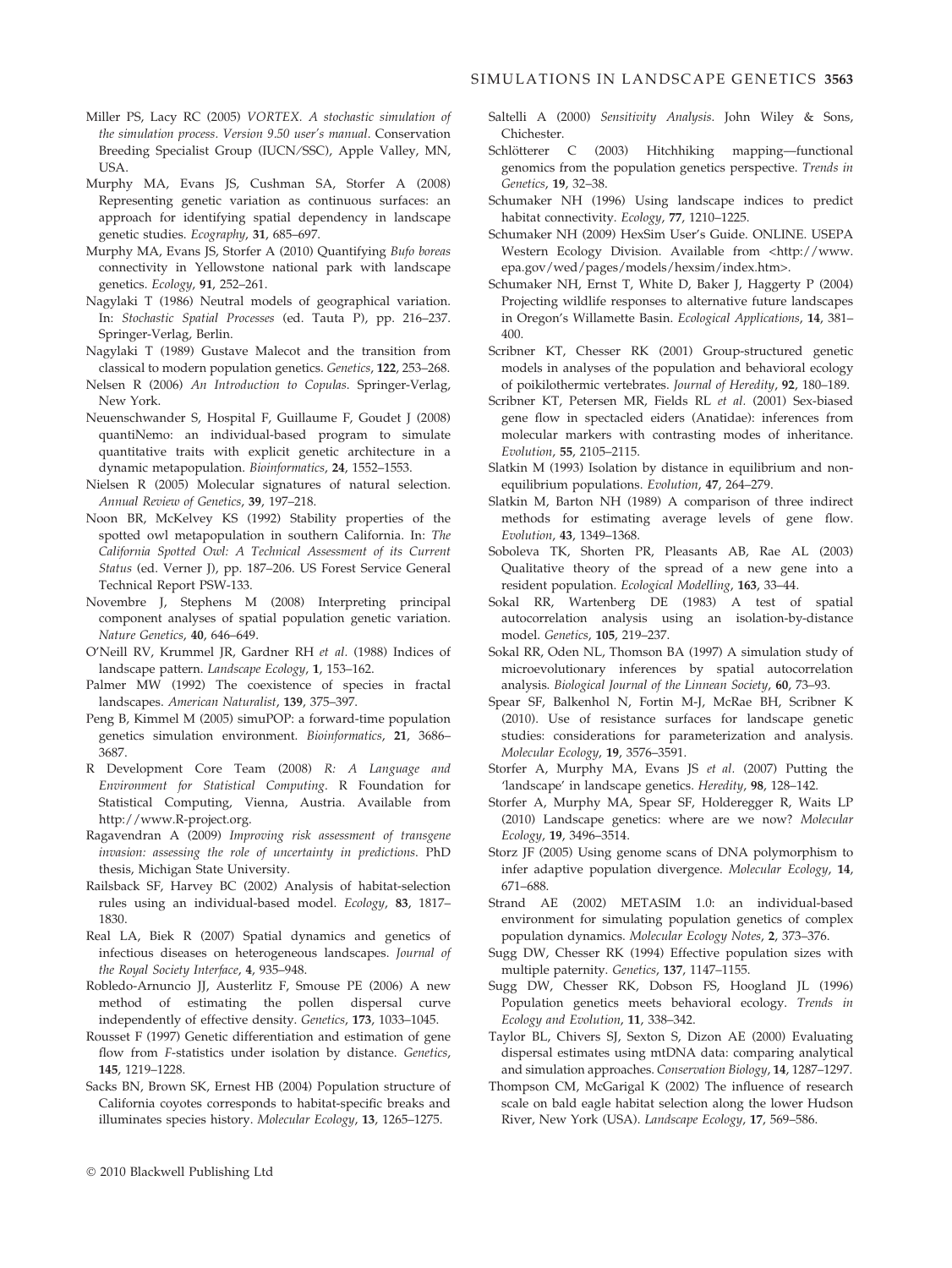- Miller PS, Lacy RC (2005) VORTEX. A stochastic simulation of the simulation process. Version 9.50 user's manual. Conservation Breeding Specialist Group (IUCN/SSC), Apple Valley, MN, **I** ISA.
- Murphy MA, Evans JS, Cushman SA, Storfer A (2008) Representing genetic variation as continuous surfaces: an approach for identifying spatial dependency in landscape genetic studies. Ecography, 31, 685–697.
- Murphy MA, Evans JS, Storfer A (2010) Quantifying Bufo boreas connectivity in Yellowstone national park with landscape genetics. Ecology, 91, 252–261.
- Nagylaki T (1986) Neutral models of geographical variation. In: Stochastic Spatial Processes (ed. Tauta P), pp. 216–237. Springer-Verlag, Berlin.
- Nagylaki T (1989) Gustave Malecot and the transition from classical to modern population genetics. Genetics, 122, 253–268.
- Nelsen R (2006) An Introduction to Copulas. Springer-Verlag, New York.
- Neuenschwander S, Hospital F, Guillaume F, Goudet J (2008) quantiNemo: an individual-based program to simulate quantitative traits with explicit genetic architecture in a dynamic metapopulation. Bioinformatics, 24, 1552–1553.
- Nielsen R (2005) Molecular signatures of natural selection. Annual Review of Genetics, 39, 197–218.
- Noon BR, McKelvey KS (1992) Stability properties of the spotted owl metapopulation in southern California. In: The California Spotted Owl: A Technical Assessment of its Current Status (ed. Verner J), pp. 187–206. US Forest Service General Technical Report PSW-133.
- Novembre J, Stephens M (2008) Interpreting principal component analyses of spatial population genetic variation. Nature Genetics, 40, 646–649.
- O'Neill RV, Krummel JR, Gardner RH et al. (1988) Indices of landscape pattern. Landscape Ecology, 1, 153–162.
- Palmer MW (1992) The coexistence of species in fractal landscapes. American Naturalist, 139, 375–397.
- Peng B, Kimmel M (2005) simuPOP: a forward-time population genetics simulation environment. Bioinformatics, 21, 3686– 3687.
- R Development Core Team (2008) R: A Language and Environment for Statistical Computing. R Foundation for Statistical Computing, Vienna, Austria. Available from http://www.R-project.org.
- Ragavendran A (2009) Improving risk assessment of transgene invasion: assessing the role of uncertainty in predictions. PhD thesis, Michigan State University.
- Railsback SF, Harvey BC (2002) Analysis of habitat-selection rules using an individual-based model. Ecology, 83, 1817– 1830.
- Real LA, Biek R (2007) Spatial dynamics and genetics of infectious diseases on heterogeneous landscapes. Journal of the Royal Society Interface, 4, 935–948.
- Robledo-Arnuncio JJ, Austerlitz F, Smouse PE (2006) A new method of estimating the pollen dispersal curve independently of effective density. Genetics, 173, 1033–1045.
- Rousset F (1997) Genetic differentiation and estimation of gene flow from *F*-statistics under isolation by distance. Genetics, 145, 1219–1228.
- Sacks BN, Brown SK, Ernest HB (2004) Population structure of California coyotes corresponds to habitat-specific breaks and illuminates species history. Molecular Ecology, 13, 1265–1275.
- Saltelli A (2000) Sensitivity Analysis. John Wiley & Sons, Chichester.
- Schlötterer C (2003) Hitchhiking mapping—functional genomics from the population genetics perspective. Trends in Genetics, 19, 32–38.
- Schumaker NH (1996) Using landscape indices to predict habitat connectivity. Ecology, 77, 1210–1225.
- Schumaker NH (2009) HexSim User's Guide. ONLINE. USEPA Western Ecology Division. Available from <http://www. epa.gov/wed/pages/models/hexsim/index.htm>.
- Schumaker NH, Ernst T, White D, Baker J, Haggerty P (2004) Projecting wildlife responses to alternative future landscapes in Oregon's Willamette Basin. Ecological Applications, 14, 381– 400.
- Scribner KT, Chesser RK (2001) Group-structured genetic models in analyses of the population and behavioral ecology of poikilothermic vertebrates. Journal of Heredity, 92, 180–189.
- Scribner KT, Petersen MR, Fields RL et al. (2001) Sex-biased gene flow in spectacled eiders (Anatidae): inferences from molecular markers with contrasting modes of inheritance. Evolution, 55, 2105–2115.
- Slatkin M (1993) Isolation by distance in equilibrium and nonequilibrium populations. Evolution, 47, 264–279.
- Slatkin M, Barton NH (1989) A comparison of three indirect methods for estimating average levels of gene flow. Evolution, 43, 1349–1368.
- Soboleva TK, Shorten PR, Pleasants AB, Rae AL (2003) Qualitative theory of the spread of a new gene into a resident population. Ecological Modelling, 163, 33–44.
- Sokal RR, Wartenberg DE (1983) A test of spatial autocorrelation analysis using an isolation-by-distance model. Genetics, 105, 219–237.
- Sokal RR, Oden NL, Thomson BA (1997) A simulation study of microevolutionary inferences by spatial autocorrelation analysis. Biological Journal of the Linnean Society, 60, 73–93.
- Spear SF, Balkenhol N, Fortin M-J, McRae BH, Scribner K (2010). Use of resistance surfaces for landscape genetic studies: considerations for parameterization and analysis. Molecular Ecology, 19, 3576–3591.
- Storfer A, Murphy MA, Evans JS et al. (2007) Putting the 'landscape' in landscape genetics. Heredity, 98, 128–142.
- Storfer A, Murphy MA, Spear SF, Holderegger R, Waits LP (2010) Landscape genetics: where are we now? Molecular Ecology, 19, 3496–3514.
- Storz JF (2005) Using genome scans of DNA polymorphism to infer adaptive population divergence. Molecular Ecology, 14, 671–688.
- Strand AE (2002) METASIM 1.0: an individual-based environment for simulating population genetics of complex population dynamics. Molecular Ecology Notes, 2, 373–376.
- Sugg DW, Chesser RK (1994) Effective population sizes with multiple paternity. Genetics, 137, 1147–1155.
- Sugg DW, Chesser RK, Dobson FS, Hoogland JL (1996) Population genetics meets behavioral ecology. Trends in Ecology and Evolution, 11, 338–342.
- Taylor BL, Chivers SJ, Sexton S, Dizon AE (2000) Evaluating dispersal estimates using mtDNA data: comparing analytical and simulation approaches. Conservation Biology, 14, 1287–1297.
- Thompson CM, McGarigal K (2002) The influence of research scale on bald eagle habitat selection along the lower Hudson River, New York (USA). Landscape Ecology, 17, 569–586.